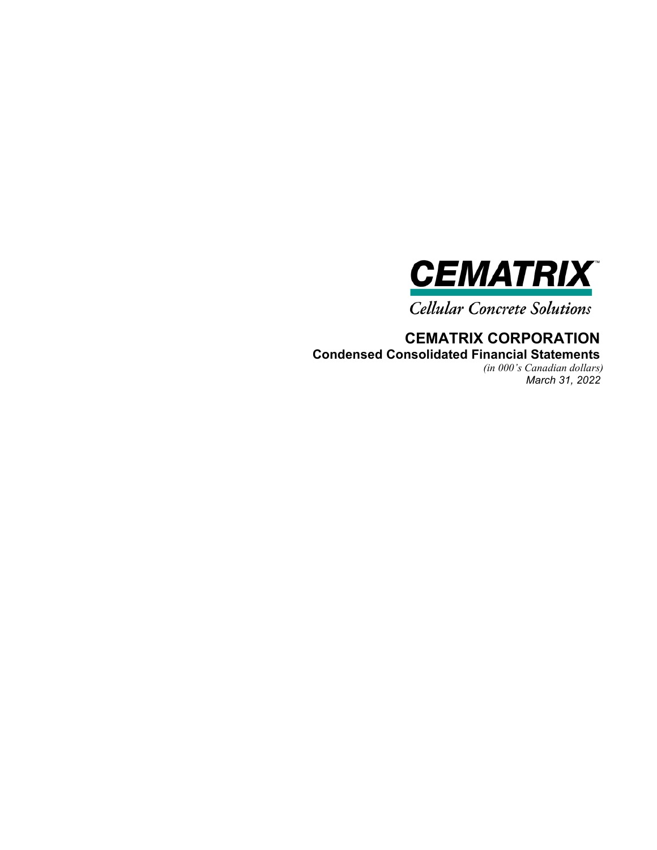

**Cellular Concrete Solutions** 

**CEMATRIX CORPORATION Condensed Consolidated Financial Statements** 

*(in 000's Canadian dollars) March 31, 2022*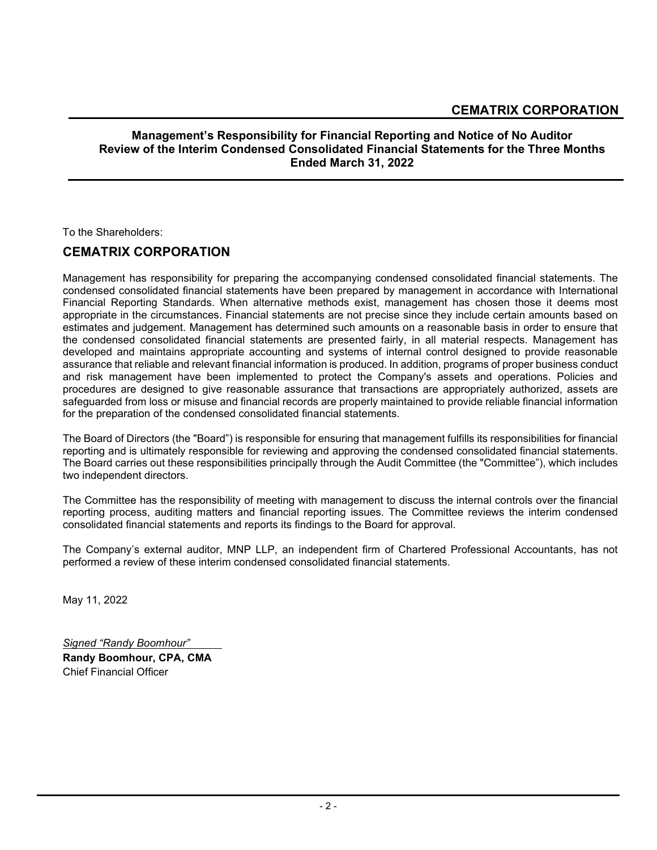# **Management's Responsibility for Financial Reporting and Notice of No Auditor Review of the Interim Condensed Consolidated Financial Statements for the Three Months Ended March 31, 2022**

To the Shareholders:

# **CEMATRIX CORPORATION**

Management has responsibility for preparing the accompanying condensed consolidated financial statements. The condensed consolidated financial statements have been prepared by management in accordance with International Financial Reporting Standards. When alternative methods exist, management has chosen those it deems most appropriate in the circumstances. Financial statements are not precise since they include certain amounts based on estimates and judgement. Management has determined such amounts on a reasonable basis in order to ensure that the condensed consolidated financial statements are presented fairly, in all material respects. Management has developed and maintains appropriate accounting and systems of internal control designed to provide reasonable assurance that reliable and relevant financial information is produced. In addition, programs of proper business conduct and risk management have been implemented to protect the Company's assets and operations. Policies and procedures are designed to give reasonable assurance that transactions are appropriately authorized, assets are safeguarded from loss or misuse and financial records are properly maintained to provide reliable financial information for the preparation of the condensed consolidated financial statements.

The Board of Directors (the "Board") is responsible for ensuring that management fulfills its responsibilities for financial reporting and is ultimately responsible for reviewing and approving the condensed consolidated financial statements. The Board carries out these responsibilities principally through the Audit Committee (the "Committee"), which includes two independent directors.

The Committee has the responsibility of meeting with management to discuss the internal controls over the financial reporting process, auditing matters and financial reporting issues. The Committee reviews the interim condensed consolidated financial statements and reports its findings to the Board for approval.

The Company's external auditor, MNP LLP, an independent firm of Chartered Professional Accountants, has not performed a review of these interim condensed consolidated financial statements.

May 11, 2022

*Signed "Randy Boomhour"*  **Randy Boomhour, CPA, CMA**  Chief Financial Officer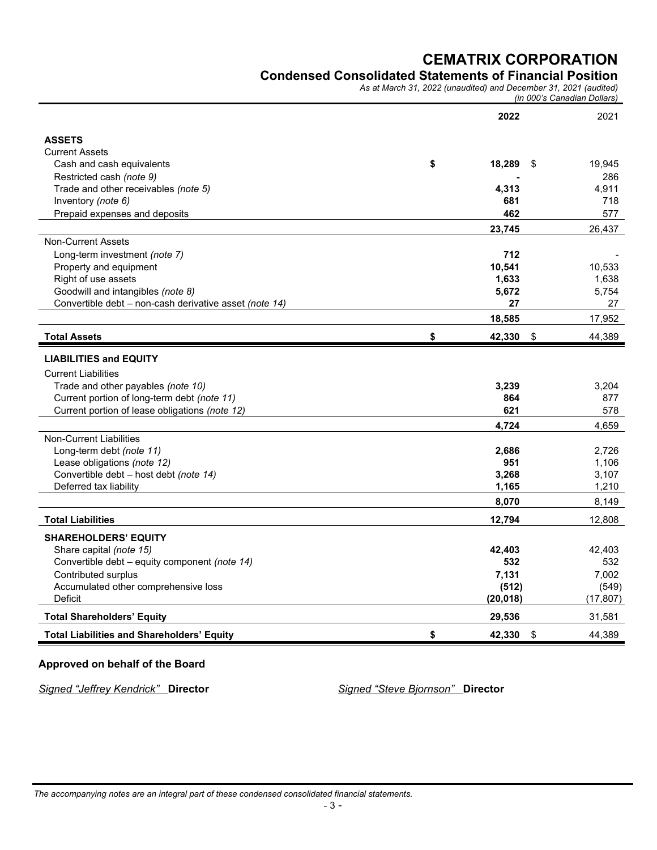## **Condensed Consolidated Statements of Financial Position**

*As at March 31, 2022 (unaudited) and December 31, 2021 (audited)*

| (in 000's Canadian Dollars) |
|-----------------------------|
|-----------------------------|

|                                                        | 2022            | 2021         |
|--------------------------------------------------------|-----------------|--------------|
| <b>ASSETS</b>                                          |                 |              |
| <b>Current Assets</b>                                  |                 |              |
| Cash and cash equivalents                              | \$<br>18,289    | \$<br>19,945 |
| Restricted cash (note 9)                               |                 | 286          |
| Trade and other receivables (note 5)                   | 4,313           | 4.911        |
| Inventory (note 6)                                     | 681             | 718          |
| Prepaid expenses and deposits                          | 462             | 577          |
|                                                        | 23,745          | 26,437       |
| <b>Non-Current Assets</b>                              |                 |              |
| Long-term investment (note 7)                          | 712             |              |
| Property and equipment                                 | 10,541          | 10,533       |
| Right of use assets                                    | 1,633           | 1,638        |
| Goodwill and intangibles (note 8)                      | 5,672           | 5.754        |
| Convertible debt - non-cash derivative asset (note 14) | 27              | 27           |
|                                                        | 18,585          | 17,952       |
| <b>Total Assets</b>                                    | \$<br>42,330 \$ | 44,389       |
| <b>LIABILITIES and EQUITY</b>                          |                 |              |
| <b>Current Liabilities</b>                             |                 |              |
| Trade and other payables (note 10)                     | 3,239           | 3,204        |
| Current portion of long-term debt (note 11)            | 864             | 877          |
| Current portion of lease obligations (note 12)         | 621             | 578          |
|                                                        | 4.724           | 4.659        |
| <b>Non-Current Liabilities</b>                         |                 |              |
| Long-term debt (note 11)                               | 2,686           | 2.726        |
| Lease obligations (note 12)                            | 951             | 1,106        |
| Convertible debt - host debt (note 14)                 | 3,268           | 3,107        |
| Deferred tax liability                                 | 1,165           | 1,210        |
|                                                        | 8,070           | 8,149        |
| <b>Total Liabilities</b>                               | 12,794          | 12,808       |
| <b>SHAREHOLDERS' EQUITY</b>                            |                 |              |
| Share capital (note 15)                                | 42,403          | 42.403       |
| Convertible debt - equity component (note 14)          | 532             | 532          |
| Contributed surplus                                    | 7.131           | 7.002        |
| Accumulated other comprehensive loss                   | (512)           | (549)        |
| <b>Deficit</b>                                         | (20, 018)       | (17, 807)    |
| <b>Total Shareholders' Equity</b>                      | 29,536          | 31,581       |
| <b>Total Liabilities and Shareholders' Equity</b>      | \$<br>42,330    | \$<br>44,389 |

# **Approved on behalf of the Board**

*Signed "Jeffrey Kendrick"* **Director** *Signed "Steve Bjornson"* **Director**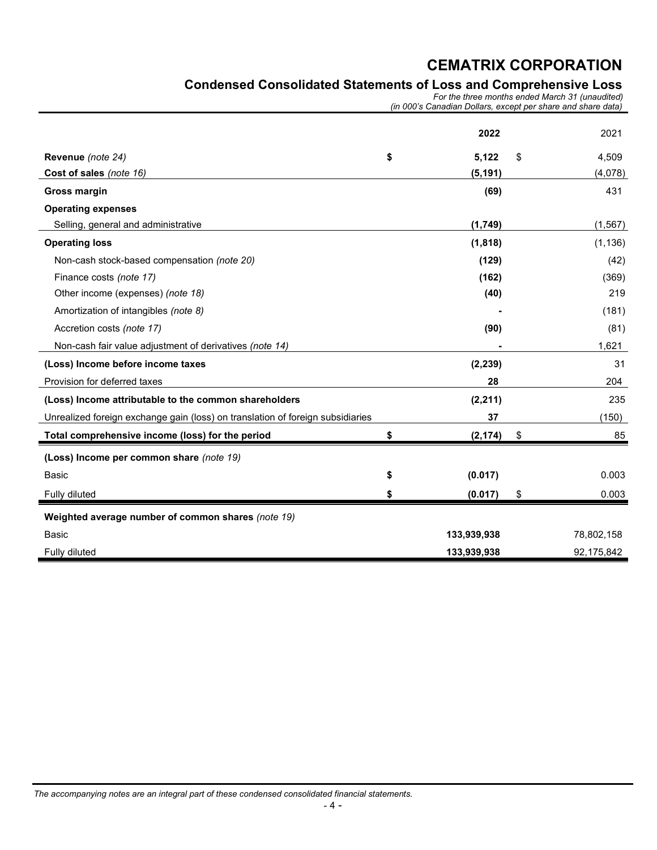# **Condensed Consolidated Statements of Loss and Comprehensive Loss**

*For the three months ended March 31 (unaudited) (in 000's Canadian Dollars, except per share and share data)*

|                                                                                | 2022           | 2021        |
|--------------------------------------------------------------------------------|----------------|-------------|
| Revenue (note 24)                                                              | \$<br>5,122    | \$<br>4,509 |
| Cost of sales (note 16)                                                        | (5, 191)       | (4,078)     |
| <b>Gross margin</b>                                                            | (69)           | 431         |
| <b>Operating expenses</b>                                                      |                |             |
| Selling, general and administrative                                            | (1,749)        | (1, 567)    |
| <b>Operating loss</b>                                                          | (1, 818)       | (1, 136)    |
| Non-cash stock-based compensation (note 20)                                    | (129)          | (42)        |
| Finance costs (note 17)                                                        | (162)          | (369)       |
| Other income (expenses) (note 18)                                              | (40)           | 219         |
| Amortization of intangibles (note 8)                                           |                | (181)       |
| Accretion costs (note 17)                                                      | (90)           | (81)        |
| Non-cash fair value adjustment of derivatives (note 14)                        |                | 1,621       |
| (Loss) Income before income taxes                                              | (2, 239)       | 31          |
| Provision for deferred taxes                                                   | 28             | 204         |
| (Loss) Income attributable to the common shareholders                          | (2, 211)       | 235         |
| Unrealized foreign exchange gain (loss) on translation of foreign subsidiaries | 37             | (150)       |
| Total comprehensive income (loss) for the period                               | \$<br>(2, 174) | 85          |
| (Loss) Income per common share (note 19)                                       |                |             |
| <b>Basic</b>                                                                   | \$<br>(0.017)  | 0.003       |
| Fully diluted                                                                  | (0.017)        | \$<br>0.003 |
| Weighted average number of common shares (note 19)                             |                |             |
| Basic                                                                          | 133,939,938    | 78,802,158  |
| Fully diluted                                                                  | 133,939,938    | 92,175,842  |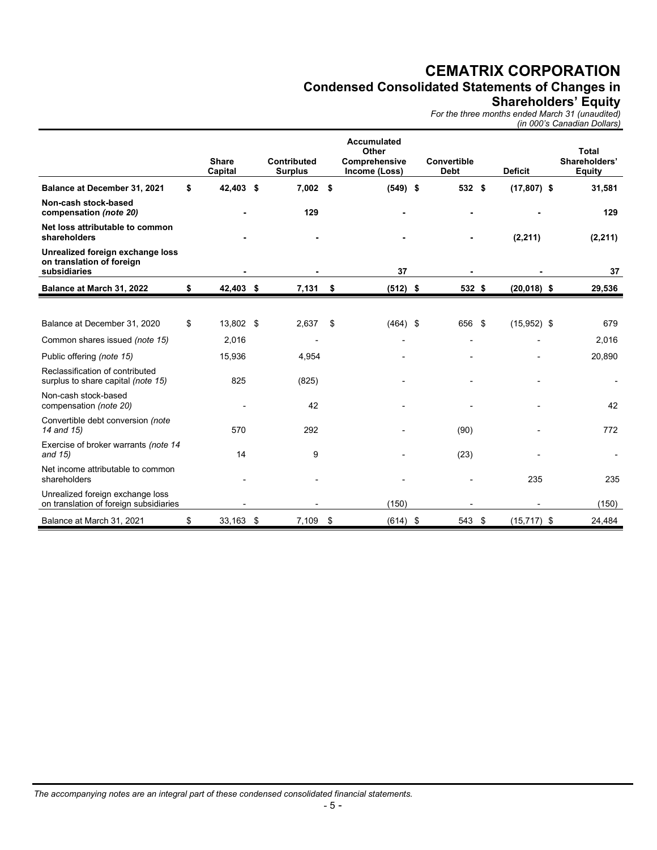# **Condensed Consolidated Statements of Changes in**

## **Shareholders' Equity**

*For the three months ended March 31 (unaudited)*

|                                                                               |                         |                                      |                                                               |                                   |                | (in 000's Canadian Dollars)                    |
|-------------------------------------------------------------------------------|-------------------------|--------------------------------------|---------------------------------------------------------------|-----------------------------------|----------------|------------------------------------------------|
|                                                                               | <b>Share</b><br>Capital | <b>Contributed</b><br><b>Surplus</b> | <b>Accumulated</b><br>Other<br>Comprehensive<br>Income (Loss) | <b>Convertible</b><br><b>Debt</b> | <b>Deficit</b> | <b>Total</b><br>Shareholders'<br><b>Equity</b> |
| Balance at December 31, 2021                                                  | \$<br>42,403 \$         | $7,002$ \$                           | $(549)$ \$                                                    | 532 \$                            | $(17, 807)$ \$ | 31,581                                         |
| Non-cash stock-based<br>compensation (note 20)                                |                         | 129                                  |                                                               |                                   |                | 129                                            |
| Net loss attributable to common<br>shareholders                               |                         |                                      |                                                               |                                   | (2, 211)       | (2, 211)                                       |
| Unrealized foreign exchange loss<br>on translation of foreign<br>subsidiaries |                         |                                      | 37                                                            |                                   |                | 37                                             |
| Balance at March 31, 2022                                                     | \$<br>42,403 \$         | 7,131                                | \$<br>$(512)$ \$                                              | 532 \$                            | $(20, 018)$ \$ | 29,536                                         |
|                                                                               |                         |                                      |                                                               |                                   |                |                                                |
| Balance at December 31, 2020                                                  | \$<br>13,802 \$         | 2,637                                | \$<br>$(464)$ \$                                              | 656 \$                            | $(15,952)$ \$  | 679                                            |
| Common shares issued (note 15)                                                | 2,016                   | $\overline{a}$                       |                                                               |                                   |                | 2,016                                          |
| Public offering (note 15)                                                     | 15,936                  | 4,954                                |                                                               |                                   |                | 20,890                                         |
| Reclassification of contributed<br>surplus to share capital (note 15)         | 825                     | (825)                                |                                                               |                                   |                |                                                |
| Non-cash stock-based<br>compensation (note 20)                                |                         | 42                                   |                                                               |                                   |                | 42                                             |
| Convertible debt conversion (note<br>14 and 15)                               | 570                     | 292                                  |                                                               | (90)                              |                | 772                                            |
| Exercise of broker warrants (note 14<br>and 15)                               | 14                      | 9                                    |                                                               | (23)                              |                |                                                |
| Net income attributable to common<br>shareholders                             |                         |                                      |                                                               |                                   | 235            | 235                                            |
| Unrealized foreign exchange loss<br>on translation of foreign subsidiaries    |                         |                                      | (150)                                                         |                                   |                | (150)                                          |
| Balance at March 31, 2021                                                     | \$<br>33,163 \$         | 7,109 \$                             | $(614)$ \$                                                    | 543 \$                            | $(15, 717)$ \$ | 24,484                                         |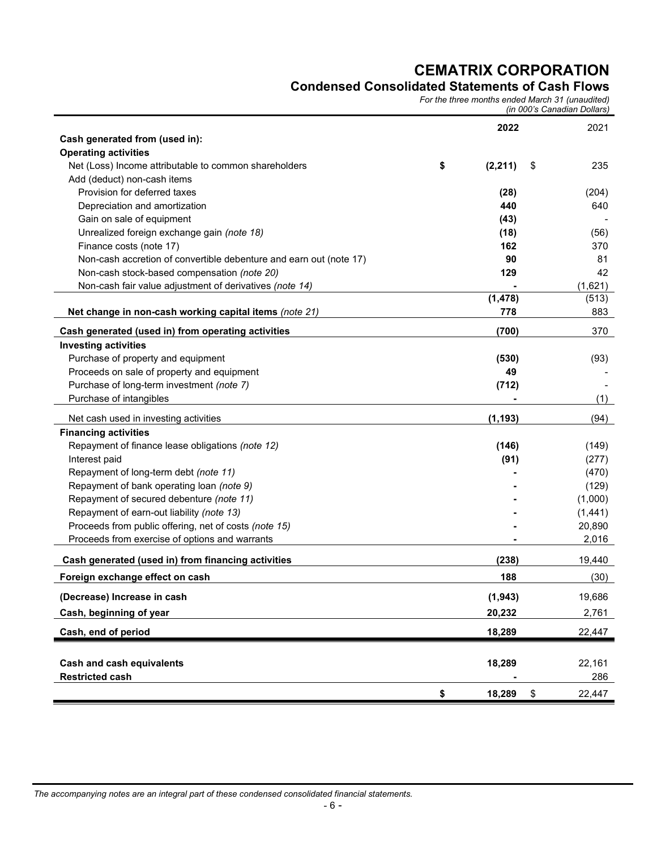# **Condensed Consolidated Statements of Cash Flows**

*For the three months ended March 31 (unaudited)* 

*(in 000's Canadian Dollars)*

|                                                                    | 2022           | 2021         |
|--------------------------------------------------------------------|----------------|--------------|
| Cash generated from (used in):                                     |                |              |
| <b>Operating activities</b>                                        |                |              |
| Net (Loss) Income attributable to common shareholders              | \$<br>(2, 211) | \$<br>235    |
| Add (deduct) non-cash items                                        |                |              |
| Provision for deferred taxes                                       | (28)           | (204)        |
| Depreciation and amortization                                      | 440            | 640          |
| Gain on sale of equipment                                          | (43)           |              |
| Unrealized foreign exchange gain (note 18)                         | (18)           | (56)         |
| Finance costs (note 17)                                            | 162            | 370          |
| Non-cash accretion of convertible debenture and earn out (note 17) | 90             | 81           |
| Non-cash stock-based compensation (note 20)                        | 129            | 42           |
| Non-cash fair value adjustment of derivatives (note 14)            |                | (1,621)      |
|                                                                    | (1, 478)       | (513)        |
| Net change in non-cash working capital items (note 21)             | 778            | 883          |
| Cash generated (used in) from operating activities                 | (700)          | 370          |
| <b>Investing activities</b>                                        |                |              |
| Purchase of property and equipment                                 | (530)          | (93)         |
| Proceeds on sale of property and equipment                         | 49             |              |
| Purchase of long-term investment (note 7)                          | (712)          |              |
| Purchase of intangibles                                            |                | (1)          |
|                                                                    |                |              |
| Net cash used in investing activities                              | (1, 193)       | (94)         |
| <b>Financing activities</b>                                        |                |              |
| Repayment of finance lease obligations (note 12)                   | (146)          | (149)        |
| Interest paid                                                      | (91)           | (277)        |
| Repayment of long-term debt (note 11)                              |                | (470)        |
| Repayment of bank operating loan (note 9)                          |                | (129)        |
| Repayment of secured debenture (note 11)                           |                | (1,000)      |
| Repayment of earn-out liability (note 13)                          |                | (1, 441)     |
| Proceeds from public offering, net of costs (note 15)              |                | 20,890       |
| Proceeds from exercise of options and warrants                     |                | 2,016        |
| Cash generated (used in) from financing activities                 | (238)          | 19,440       |
| Foreign exchange effect on cash                                    | 188            | (30)         |
| (Decrease) Increase in cash                                        | (1, 943)       | 19,686       |
| Cash, beginning of year                                            | 20,232         | 2,761        |
| Cash, end of period                                                | 18,289         | 22,447       |
|                                                                    |                |              |
| <b>Cash and cash equivalents</b>                                   | 18,289         | 22,161       |
| <b>Restricted cash</b>                                             |                | 286          |
|                                                                    |                |              |
|                                                                    | \$<br>18,289   | \$<br>22,447 |

*The accompanying notes are an integral part of these condensed consolidated financial statements.*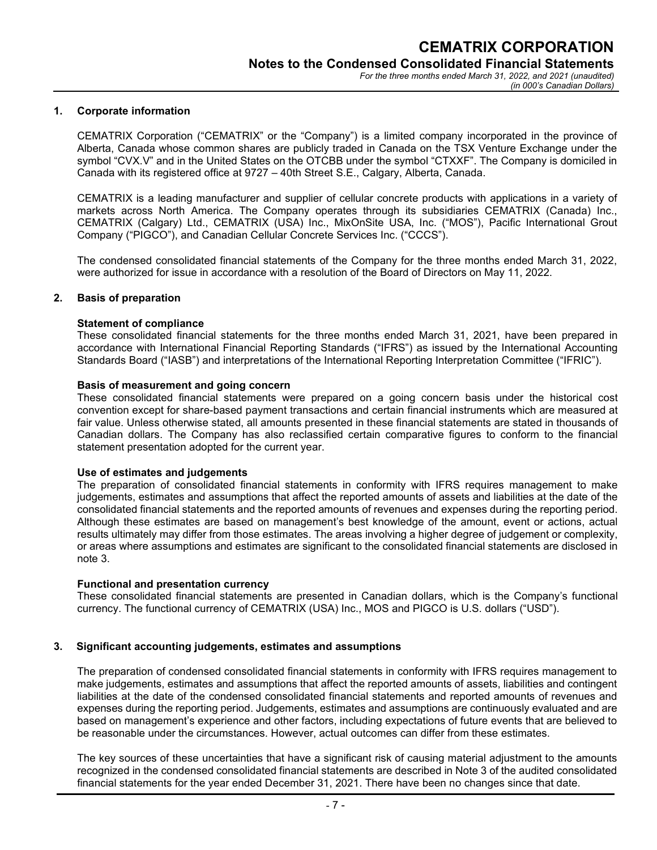#### **1. Corporate information**

CEMATRIX Corporation ("CEMATRIX" or the "Company") is a limited company incorporated in the province of Alberta, Canada whose common shares are publicly traded in Canada on the TSX Venture Exchange under the symbol "CVX.V" and in the United States on the OTCBB under the symbol "CTXXF". The Company is domiciled in Canada with its registered office at 9727 – 40th Street S.E., Calgary, Alberta, Canada.

CEMATRIX is a leading manufacturer and supplier of cellular concrete products with applications in a variety of markets across North America. The Company operates through its subsidiaries CEMATRIX (Canada) Inc., CEMATRIX (Calgary) Ltd., CEMATRIX (USA) Inc., MixOnSite USA, Inc. ("MOS"), Pacific International Grout Company ("PIGCO"), and Canadian Cellular Concrete Services Inc. ("CCCS").

The condensed consolidated financial statements of the Company for the three months ended March 31, 2022, were authorized for issue in accordance with a resolution of the Board of Directors on May 11, 2022.

#### **2. Basis of preparation**

#### **Statement of compliance**

These consolidated financial statements for the three months ended March 31, 2021, have been prepared in accordance with International Financial Reporting Standards ("IFRS") as issued by the International Accounting Standards Board ("IASB") and interpretations of the International Reporting Interpretation Committee ("IFRIC").

#### **Basis of measurement and going concern**

These consolidated financial statements were prepared on a going concern basis under the historical cost convention except for share-based payment transactions and certain financial instruments which are measured at fair value. Unless otherwise stated, all amounts presented in these financial statements are stated in thousands of Canadian dollars. The Company has also reclassified certain comparative figures to conform to the financial statement presentation adopted for the current year.

#### **Use of estimates and judgements**

The preparation of consolidated financial statements in conformity with IFRS requires management to make judgements, estimates and assumptions that affect the reported amounts of assets and liabilities at the date of the consolidated financial statements and the reported amounts of revenues and expenses during the reporting period. Although these estimates are based on management's best knowledge of the amount, event or actions, actual results ultimately may differ from those estimates. The areas involving a higher degree of judgement or complexity, or areas where assumptions and estimates are significant to the consolidated financial statements are disclosed in note 3.

#### **Functional and presentation currency**

These consolidated financial statements are presented in Canadian dollars, which is the Company's functional currency. The functional currency of CEMATRIX (USA) Inc., MOS and PIGCO is U.S. dollars ("USD").

#### **3. Significant accounting judgements, estimates and assumptions**

The preparation of condensed consolidated financial statements in conformity with IFRS requires management to make judgements, estimates and assumptions that affect the reported amounts of assets, liabilities and contingent liabilities at the date of the condensed consolidated financial statements and reported amounts of revenues and expenses during the reporting period. Judgements, estimates and assumptions are continuously evaluated and are based on management's experience and other factors, including expectations of future events that are believed to be reasonable under the circumstances. However, actual outcomes can differ from these estimates.

The key sources of these uncertainties that have a significant risk of causing material adjustment to the amounts recognized in the condensed consolidated financial statements are described in Note 3 of the audited consolidated financial statements for the year ended December 31, 2021. There have been no changes since that date.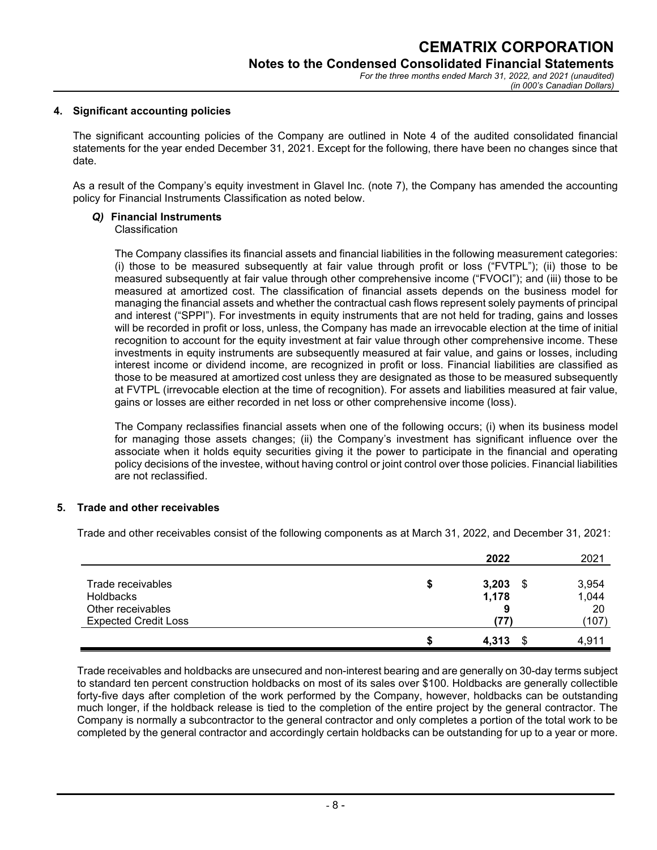#### **4. Significant accounting policies**

The significant accounting policies of the Company are outlined in Note 4 of the audited consolidated financial statements for the year ended December 31, 2021. Except for the following, there have been no changes since that date.

As a result of the Company's equity investment in Glavel Inc. (note 7), the Company has amended the accounting policy for Financial Instruments Classification as noted below.

# *Q)* **Financial Instruments**

#### Classification

The Company classifies its financial assets and financial liabilities in the following measurement categories: (i) those to be measured subsequently at fair value through profit or loss ("FVTPL"); (ii) those to be measured subsequently at fair value through other comprehensive income ("FVOCI"); and (iii) those to be measured at amortized cost. The classification of financial assets depends on the business model for managing the financial assets and whether the contractual cash flows represent solely payments of principal and interest ("SPPI"). For investments in equity instruments that are not held for trading, gains and losses will be recorded in profit or loss, unless, the Company has made an irrevocable election at the time of initial recognition to account for the equity investment at fair value through other comprehensive income. These investments in equity instruments are subsequently measured at fair value, and gains or losses, including interest income or dividend income, are recognized in profit or loss. Financial liabilities are classified as those to be measured at amortized cost unless they are designated as those to be measured subsequently at FVTPL (irrevocable election at the time of recognition). For assets and liabilities measured at fair value, gains or losses are either recorded in net loss or other comprehensive income (loss).

The Company reclassifies financial assets when one of the following occurs; (i) when its business model for managing those assets changes; (ii) the Company's investment has significant influence over the associate when it holds equity securities giving it the power to participate in the financial and operating policy decisions of the investee, without having control or joint control over those policies. Financial liabilities are not reclassified.

## **5. Trade and other receivables**

Trade and other receivables consist of the following components as at March 31, 2022, and December 31, 2021:

|                                                     | 2022                      | 2021                 |
|-----------------------------------------------------|---------------------------|----------------------|
| Trade receivables<br>Holdbacks<br>Other receivables | 3,203<br>\$<br>1,178<br>9 | 3,954<br>1,044<br>20 |
| <b>Expected Credit Loss</b>                         | '77)                      | (107)                |
|                                                     | 4,313                     | 4.911                |

Trade receivables and holdbacks are unsecured and non-interest bearing and are generally on 30-day terms subject to standard ten percent construction holdbacks on most of its sales over \$100. Holdbacks are generally collectible forty-five days after completion of the work performed by the Company, however, holdbacks can be outstanding much longer, if the holdback release is tied to the completion of the entire project by the general contractor. The Company is normally a subcontractor to the general contractor and only completes a portion of the total work to be completed by the general contractor and accordingly certain holdbacks can be outstanding for up to a year or more.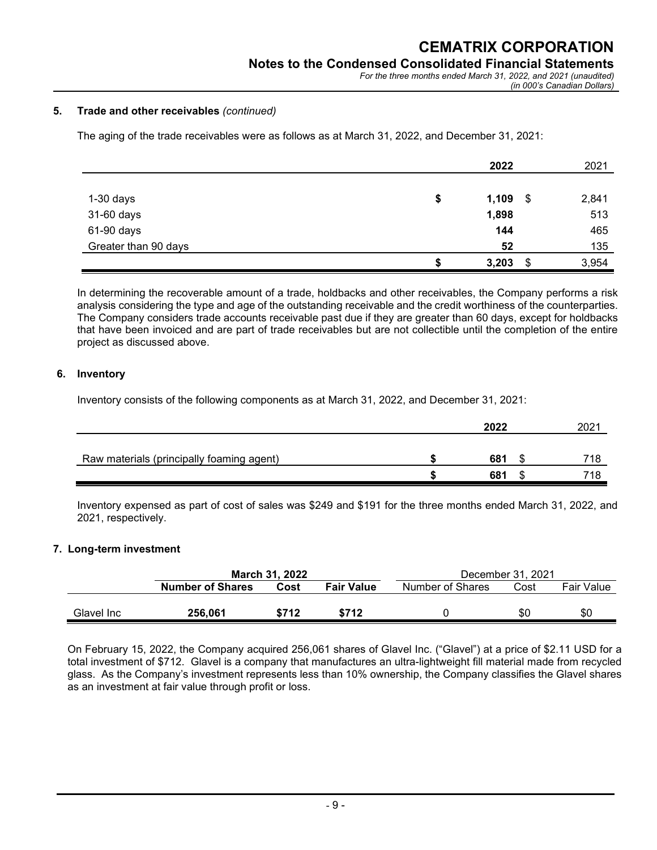## **Notes to the Condensed Consolidated Financial Statements**

*For the three months ended March 31, 2022, and 2021 (unaudited) (in 000's Canadian Dollars)*

#### **5. Trade and other receivables** *(continued)*

The aging of the trade receivables were as follows as at March 31, 2022, and December 31, 2021:

|                      | 2022              | 2021  |
|----------------------|-------------------|-------|
|                      |                   |       |
| $1-30$ days          | \$<br>1,109<br>\$ | 2,841 |
| 31-60 days           | 1,898             | 513   |
| 61-90 days           | 144               | 465   |
| Greater than 90 days | 52                | 135   |
|                      | \$<br>3,203       | 3,954 |

In determining the recoverable amount of a trade, holdbacks and other receivables, the Company performs a risk analysis considering the type and age of the outstanding receivable and the credit worthiness of the counterparties. The Company considers trade accounts receivable past due if they are greater than 60 days, except for holdbacks that have been invoiced and are part of trade receivables but are not collectible until the completion of the entire project as discussed above.

#### **6. Inventory**

Inventory consists of the following components as at March 31, 2022, and December 31, 2021:

|                                           | 2022 | 2021 |
|-------------------------------------------|------|------|
| Raw materials (principally foaming agent) | 681  | 718  |
|                                           | 681  | 718  |

Inventory expensed as part of cost of sales was \$249 and \$191 for the three months ended March 31, 2022, and 2021, respectively.

## **7. Long-term investment**

|            | <b>March 31, 2022</b>   |                           |       | December 31, 2021        |     |                   |  |  |
|------------|-------------------------|---------------------------|-------|--------------------------|-----|-------------------|--|--|
|            | <b>Number of Shares</b> | <b>Fair Value</b><br>Cost |       | Number of Shares<br>Cost |     | <b>Fair Value</b> |  |  |
|            |                         |                           |       |                          |     |                   |  |  |
| Glavel Inc | 256.061                 | \$712                     | \$712 |                          | \$0 | \$0               |  |  |

On February 15, 2022, the Company acquired 256,061 shares of Glavel Inc. ("Glavel") at a price of \$2.11 USD for a total investment of \$712. Glavel is a company that manufactures an ultra-lightweight fill material made from recycled glass. As the Company's investment represents less than 10% ownership, the Company classifies the Glavel shares as an investment at fair value through profit or loss.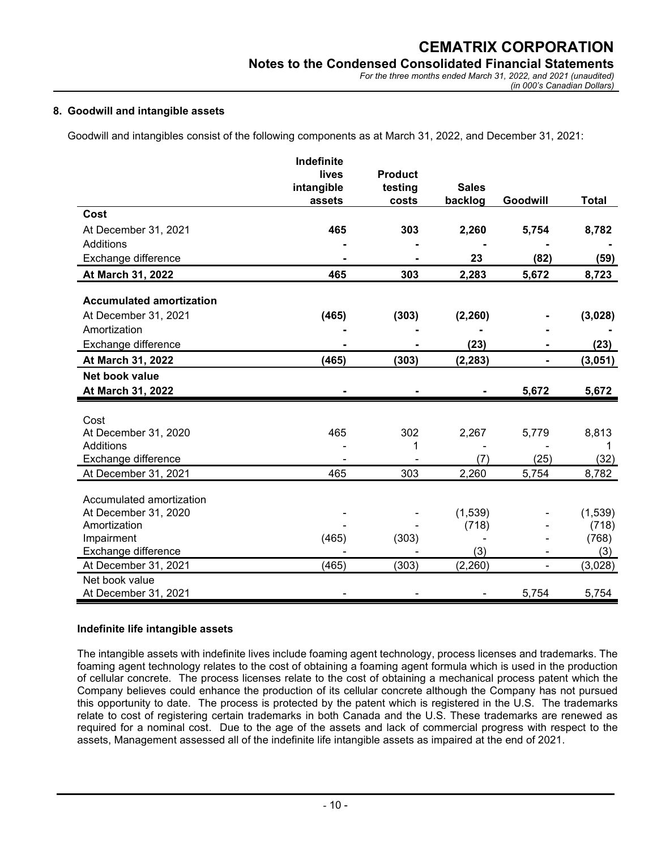#### **8. Goodwill and intangible assets**

Goodwill and intangibles consist of the following components as at March 31, 2022, and December 31, 2021:

|                                      | Indefinite           |                  |                  |                          |                  |
|--------------------------------------|----------------------|------------------|------------------|--------------------------|------------------|
|                                      | lives                | <b>Product</b>   | <b>Sales</b>     |                          |                  |
|                                      | intangible<br>assets | testing<br>costs | backlog          | Goodwill                 | <b>Total</b>     |
| Cost                                 |                      |                  |                  |                          |                  |
| At December 31, 2021                 | 465                  | 303              | 2,260            | 5,754                    | 8,782            |
| Additions                            |                      |                  |                  |                          |                  |
| Exchange difference                  |                      |                  | 23               | (82)                     | (59)             |
| At March 31, 2022                    | 465                  | 303              | 2,283            | 5,672                    | 8,723            |
| <b>Accumulated amortization</b>      |                      |                  |                  |                          |                  |
| At December 31, 2021                 | (465)                | (303)            | (2, 260)         |                          | (3,028)          |
| Amortization                         |                      |                  |                  |                          |                  |
| Exchange difference                  |                      |                  | (23)             |                          | (23)             |
| At March 31, 2022                    | (465)                | (303)            | (2, 283)         |                          | (3,051)          |
| Net book value                       |                      |                  |                  |                          |                  |
| At March 31, 2022                    |                      |                  |                  | 5,672                    | 5,672            |
|                                      |                      |                  |                  |                          |                  |
| Cost                                 | 465                  | 302              |                  |                          |                  |
| At December 31, 2020<br>Additions    |                      | 1                | 2,267            | 5,779                    | 8,813            |
| Exchange difference                  |                      |                  | (7)              | (25)                     | (32)             |
| At December 31, 2021                 | 465                  | 303              | 2,260            | 5,754                    | 8,782            |
|                                      |                      |                  |                  |                          |                  |
| Accumulated amortization             |                      |                  |                  |                          |                  |
| At December 31, 2020<br>Amortization |                      |                  | (1,539)<br>(718) |                          | (1,539)<br>(718) |
| Impairment                           | (465)                | (303)            |                  |                          | (768)            |
| Exchange difference                  |                      |                  | (3)              |                          | (3)              |
| At December 31, 2021                 | (465)                | (303)            | (2, 260)         | $\overline{\phantom{0}}$ | (3,028)          |
| Net book value                       |                      |                  |                  |                          |                  |
| At December 31, 2021                 |                      |                  |                  | 5,754                    | 5,754            |

#### **Indefinite life intangible assets**

The intangible assets with indefinite lives include foaming agent technology, process licenses and trademarks. The foaming agent technology relates to the cost of obtaining a foaming agent formula which is used in the production of cellular concrete. The process licenses relate to the cost of obtaining a mechanical process patent which the Company believes could enhance the production of its cellular concrete although the Company has not pursued this opportunity to date. The process is protected by the patent which is registered in the U.S. The trademarks relate to cost of registering certain trademarks in both Canada and the U.S. These trademarks are renewed as required for a nominal cost. Due to the age of the assets and lack of commercial progress with respect to the assets, Management assessed all of the indefinite life intangible assets as impaired at the end of 2021.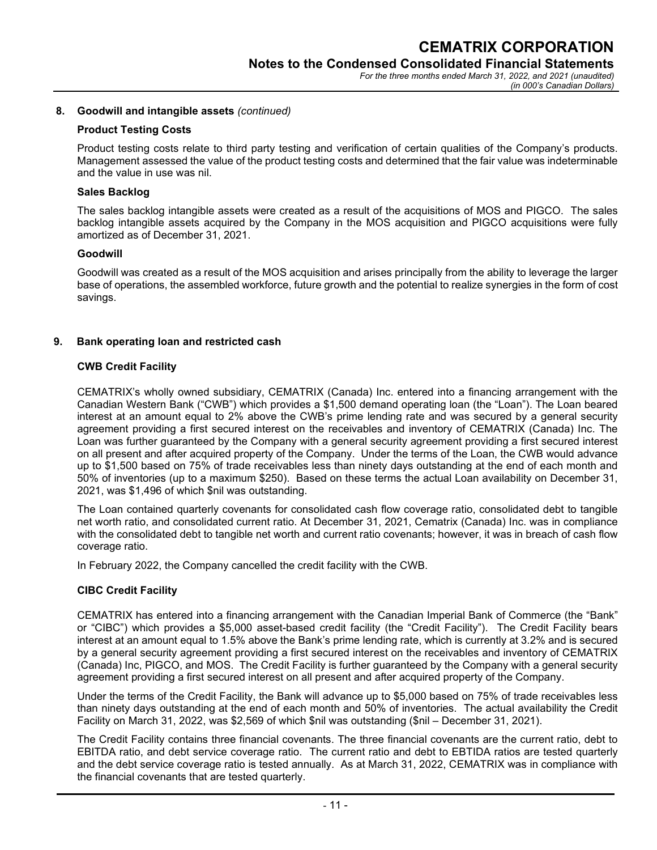#### **8. Goodwill and intangible assets** *(continued)*

#### **Product Testing Costs**

Product testing costs relate to third party testing and verification of certain qualities of the Company's products. Management assessed the value of the product testing costs and determined that the fair value was indeterminable and the value in use was nil.

#### **Sales Backlog**

The sales backlog intangible assets were created as a result of the acquisitions of MOS and PIGCO. The sales backlog intangible assets acquired by the Company in the MOS acquisition and PIGCO acquisitions were fully amortized as of December 31, 2021.

#### **Goodwill**

Goodwill was created as a result of the MOS acquisition and arises principally from the ability to leverage the larger base of operations, the assembled workforce, future growth and the potential to realize synergies in the form of cost savings.

#### **9. Bank operating loan and restricted cash**

#### **CWB Credit Facility**

CEMATRIX's wholly owned subsidiary, CEMATRIX (Canada) Inc. entered into a financing arrangement with the Canadian Western Bank ("CWB") which provides a \$1,500 demand operating loan (the "Loan"). The Loan beared interest at an amount equal to 2% above the CWB's prime lending rate and was secured by a general security agreement providing a first secured interest on the receivables and inventory of CEMATRIX (Canada) Inc. The Loan was further guaranteed by the Company with a general security agreement providing a first secured interest on all present and after acquired property of the Company. Under the terms of the Loan, the CWB would advance up to \$1,500 based on 75% of trade receivables less than ninety days outstanding at the end of each month and 50% of inventories (up to a maximum \$250). Based on these terms the actual Loan availability on December 31, 2021, was \$1,496 of which \$nil was outstanding.

The Loan contained quarterly covenants for consolidated cash flow coverage ratio, consolidated debt to tangible net worth ratio, and consolidated current ratio. At December 31, 2021, Cematrix (Canada) Inc. was in compliance with the consolidated debt to tangible net worth and current ratio covenants; however, it was in breach of cash flow coverage ratio.

In February 2022, the Company cancelled the credit facility with the CWB.

## **CIBC Credit Facility**

CEMATRIX has entered into a financing arrangement with the Canadian Imperial Bank of Commerce (the "Bank" or "CIBC") which provides a \$5,000 asset-based credit facility (the "Credit Facility"). The Credit Facility bears interest at an amount equal to 1.5% above the Bank's prime lending rate, which is currently at 3.2% and is secured by a general security agreement providing a first secured interest on the receivables and inventory of CEMATRIX (Canada) Inc, PIGCO, and MOS. The Credit Facility is further guaranteed by the Company with a general security agreement providing a first secured interest on all present and after acquired property of the Company.

Under the terms of the Credit Facility, the Bank will advance up to \$5,000 based on 75% of trade receivables less than ninety days outstanding at the end of each month and 50% of inventories. The actual availability the Credit Facility on March 31, 2022, was \$2,569 of which \$nil was outstanding (\$nil – December 31, 2021).

The Credit Facility contains three financial covenants. The three financial covenants are the current ratio, debt to EBITDA ratio, and debt service coverage ratio. The current ratio and debt to EBTIDA ratios are tested quarterly and the debt service coverage ratio is tested annually. As at March 31, 2022, CEMATRIX was in compliance with the financial covenants that are tested quarterly.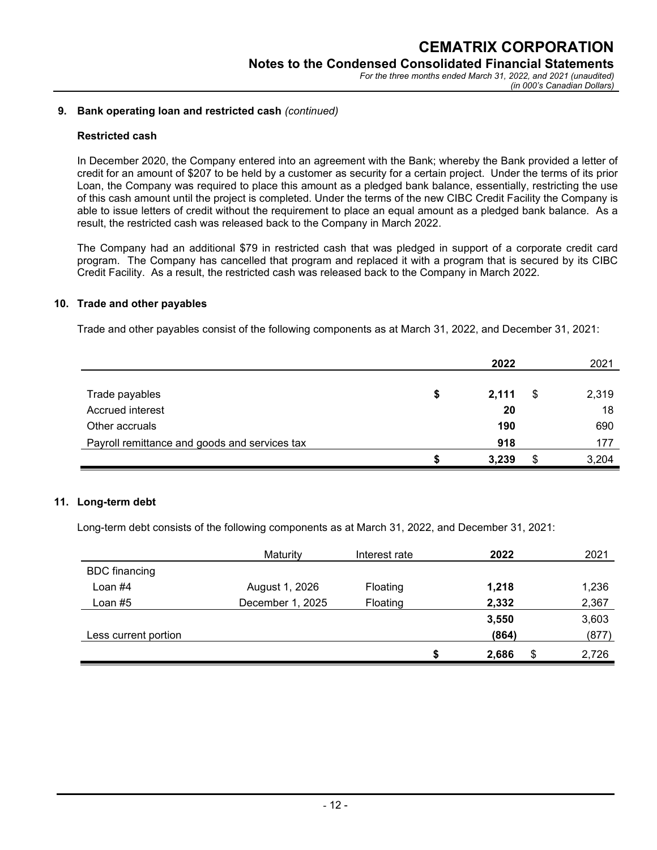### **9. Bank operating loan and restricted cash** *(continued)*

#### **Restricted cash**

In December 2020, the Company entered into an agreement with the Bank; whereby the Bank provided a letter of credit for an amount of \$207 to be held by a customer as security for a certain project. Under the terms of its prior Loan, the Company was required to place this amount as a pledged bank balance, essentially, restricting the use of this cash amount until the project is completed. Under the terms of the new CIBC Credit Facility the Company is able to issue letters of credit without the requirement to place an equal amount as a pledged bank balance. As a result, the restricted cash was released back to the Company in March 2022.

The Company had an additional \$79 in restricted cash that was pledged in support of a corporate credit card program. The Company has cancelled that program and replaced it with a program that is secured by its CIBC Credit Facility. As a result, the restricted cash was released back to the Company in March 2022.

#### **10. Trade and other payables**

Trade and other payables consist of the following components as at March 31, 2022, and December 31, 2021:

|                                               |   | 2022  |    | 2021  |
|-----------------------------------------------|---|-------|----|-------|
|                                               |   |       |    |       |
| Trade payables                                | S | 2,111 | \$ | 2,319 |
| Accrued interest                              |   | 20    |    | 18    |
| Other accruals                                |   | 190   |    | 690   |
| Payroll remittance and goods and services tax |   | 918   |    | 177   |
|                                               |   | 3,239 | S  | 3,204 |

#### **11. Long-term debt**

Long-term debt consists of the following components as at March 31, 2022, and December 31, 2021:

|                      | Maturity         | Interest rate | 2022        |   | 2021  |
|----------------------|------------------|---------------|-------------|---|-------|
| <b>BDC</b> financing |                  |               |             |   |       |
| Loan #4              | August 1, 2026   | Floating      | 1,218       |   | 1,236 |
| Loan #5              | December 1, 2025 | Floating      | 2,332       |   | 2,367 |
|                      |                  |               | 3,550       |   | 3,603 |
| Less current portion |                  |               | (864)       |   | (877) |
|                      |                  |               | \$<br>2,686 | S | 2,726 |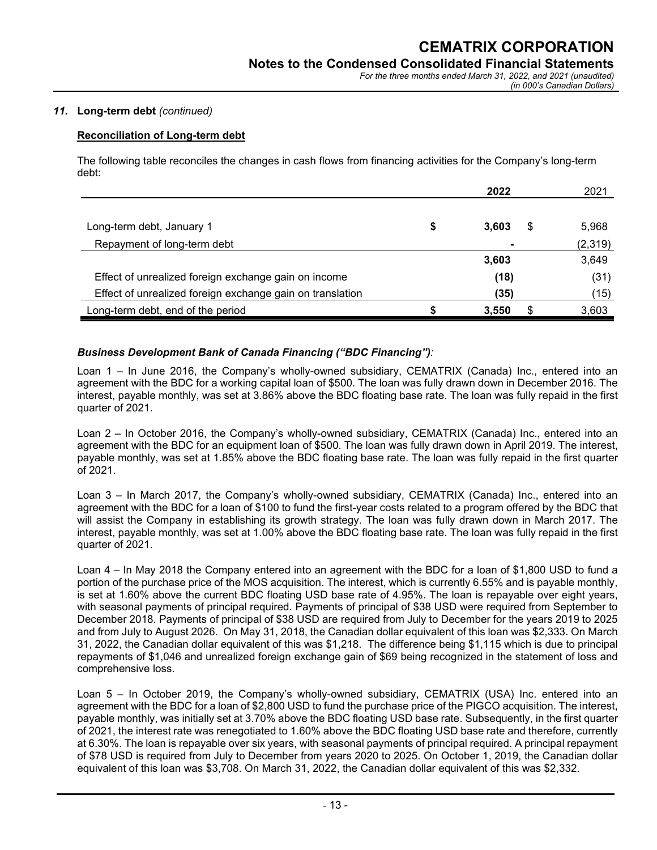### *11.* **Long-term debt** *(continued)*

# **Reconciliation of Long-term debt**

The following table reconciles the changes in cash flows from financing activities for the Company's long-term debt:

|                                                           |   | 2022           | 2021    |
|-----------------------------------------------------------|---|----------------|---------|
|                                                           |   |                |         |
| Long-term debt, January 1                                 | S | \$<br>3.603    | 5,968   |
| Repayment of long-term debt                               |   | $\blacksquare$ | (2,319) |
|                                                           |   | 3,603          | 3,649   |
| Effect of unrealized foreign exchange gain on income      |   | (18)           | (31)    |
| Effect of unrealized foreign exchange gain on translation |   | (35)           | (15)    |
| Long-term debt, end of the period                         |   | 3,550          | 3,603   |

# *Business Development Bank of Canada Financing ("BDC Financing"):*

Loan 1 – In June 2016, the Company's wholly-owned subsidiary, CEMATRIX (Canada) Inc., entered into an agreement with the BDC for a working capital loan of \$500. The loan was fully drawn down in December 2016. The interest, payable monthly, was set at 3.86% above the BDC floating base rate. The loan was fully repaid in the first quarter of 2021.

Loan 2 – In October 2016, the Company's wholly-owned subsidiary, CEMATRIX (Canada) Inc., entered into an agreement with the BDC for an equipment loan of \$500. The loan was fully drawn down in April 2019. The interest, payable monthly, was set at 1.85% above the BDC floating base rate. The loan was fully repaid in the first quarter of 2021.

Loan 3 – In March 2017, the Company's wholly-owned subsidiary, CEMATRIX (Canada) Inc., entered into an agreement with the BDC for a loan of \$100 to fund the first-year costs related to a program offered by the BDC that will assist the Company in establishing its growth strategy. The loan was fully drawn down in March 2017. The interest, payable monthly, was set at 1.00% above the BDC floating base rate. The loan was fully repaid in the first quarter of 2021.

Loan 4 – In May 2018 the Company entered into an agreement with the BDC for a loan of \$1,800 USD to fund a portion of the purchase price of the MOS acquisition. The interest, which is currently 6.55% and is payable monthly, is set at 1.60% above the current BDC floating USD base rate of 4.95%. The loan is repayable over eight years, with seasonal payments of principal required. Payments of principal of \$38 USD were required from September to December 2018. Payments of principal of \$38 USD are required from July to December for the years 2019 to 2025 and from July to August 2026. On May 31, 2018, the Canadian dollar equivalent of this loan was \$2,333. On March 31, 2022, the Canadian dollar equivalent of this was \$1,218. The difference being \$1,115 which is due to principal repayments of \$1,046 and unrealized foreign exchange gain of \$69 being recognized in the statement of loss and comprehensive loss.

Loan 5 – In October 2019, the Company's wholly-owned subsidiary, CEMATRIX (USA) Inc. entered into an agreement with the BDC for a loan of \$2,800 USD to fund the purchase price of the PIGCO acquisition. The interest, payable monthly, was initially set at 3.70% above the BDC floating USD base rate. Subsequently, in the first quarter of 2021, the interest rate was renegotiated to 1.60% above the BDC floating USD base rate and therefore, currently at 6.30%. The loan is repayable over six years, with seasonal payments of principal required. A principal repayment of \$78 USD is required from July to December from years 2020 to 2025. On October 1, 2019, the Canadian dollar equivalent of this loan was \$3,708. On March 31, 2022, the Canadian dollar equivalent of this was \$2,332.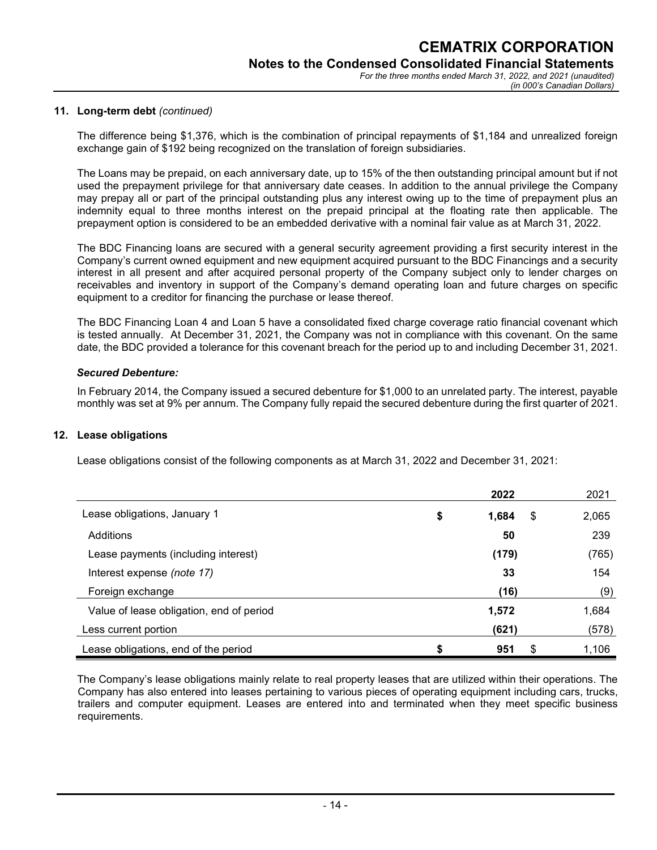#### **11. Long-term debt** *(continued)*

The difference being \$1,376, which is the combination of principal repayments of \$1,184 and unrealized foreign exchange gain of \$192 being recognized on the translation of foreign subsidiaries.

The Loans may be prepaid, on each anniversary date, up to 15% of the then outstanding principal amount but if not used the prepayment privilege for that anniversary date ceases. In addition to the annual privilege the Company may prepay all or part of the principal outstanding plus any interest owing up to the time of prepayment plus an indemnity equal to three months interest on the prepaid principal at the floating rate then applicable. The prepayment option is considered to be an embedded derivative with a nominal fair value as at March 31, 2022.

The BDC Financing loans are secured with a general security agreement providing a first security interest in the Company's current owned equipment and new equipment acquired pursuant to the BDC Financings and a security interest in all present and after acquired personal property of the Company subject only to lender charges on receivables and inventory in support of the Company's demand operating loan and future charges on specific equipment to a creditor for financing the purchase or lease thereof.

The BDC Financing Loan 4 and Loan 5 have a consolidated fixed charge coverage ratio financial covenant which is tested annually. At December 31, 2021, the Company was not in compliance with this covenant. On the same date, the BDC provided a tolerance for this covenant breach for the period up to and including December 31, 2021.

#### *Secured Debenture:*

In February 2014, the Company issued a secured debenture for \$1,000 to an unrelated party. The interest, payable monthly was set at 9% per annum. The Company fully repaid the secured debenture during the first quarter of 2021.

#### **12. Lease obligations**

Lease obligations consist of the following components as at March 31, 2022 and December 31, 2021:

|                                          | 2022              | 2021  |
|------------------------------------------|-------------------|-------|
| Lease obligations, January 1             | \$<br>1,684<br>\$ | 2,065 |
| Additions                                | 50                | 239   |
| Lease payments (including interest)      | (179)             | (765) |
| Interest expense (note 17)               | 33                | 154   |
| Foreign exchange                         | (16)              | (9)   |
| Value of lease obligation, end of period | 1,572             | 1,684 |
| Less current portion                     | (621)             | (578) |
| Lease obligations, end of the period     | 951<br>S          | 1,106 |

The Company's lease obligations mainly relate to real property leases that are utilized within their operations. The Company has also entered into leases pertaining to various pieces of operating equipment including cars, trucks, trailers and computer equipment. Leases are entered into and terminated when they meet specific business requirements.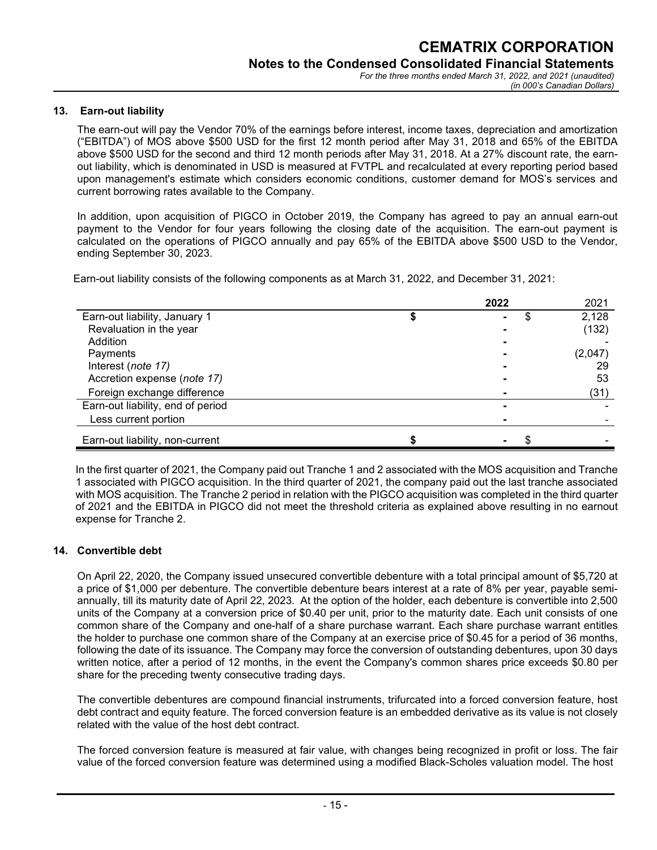#### **13. Earn-out liability**

The earn-out will pay the Vendor 70% of the earnings before interest, income taxes, depreciation and amortization ("EBITDA") of MOS above \$500 USD for the first 12 month period after May 31, 2018 and 65% of the EBITDA above \$500 USD for the second and third 12 month periods after May 31, 2018. At a 27% discount rate, the earnout liability, which is denominated in USD is measured at FVTPL and recalculated at every reporting period based upon management's estimate which considers economic conditions, customer demand for MOS's services and current borrowing rates available to the Company.

In addition, upon acquisition of PIGCO in October 2019, the Company has agreed to pay an annual earn-out payment to the Vendor for four years following the closing date of the acquisition. The earn-out payment is calculated on the operations of PIGCO annually and pay 65% of the EBITDA above \$500 USD to the Vendor, ending September 30, 2023.

Earn-out liability consists of the following components as at March 31, 2022, and December 31, 2021:

|                                   | 2022 | 2021    |
|-----------------------------------|------|---------|
| Earn-out liability, January 1     | S    | 2,128   |
| Revaluation in the year           |      | (132)   |
| Addition                          |      |         |
| Payments                          |      | (2,047) |
| Interest (note 17)                |      | 29      |
| Accretion expense (note 17)       |      | 53      |
| Foreign exchange difference       |      | (31)    |
| Earn-out liability, end of period |      |         |
| Less current portion              |      |         |
| Earn-out liability, non-current   |      |         |

In the first quarter of 2021, the Company paid out Tranche 1 and 2 associated with the MOS acquisition and Tranche 1 associated with PIGCO acquisition. In the third quarter of 2021, the company paid out the last tranche associated with MOS acquisition. The Tranche 2 period in relation with the PIGCO acquisition was completed in the third quarter of 2021 and the EBITDA in PIGCO did not meet the threshold criteria as explained above resulting in no earnout expense for Tranche 2.

#### **14. Convertible debt**

On April 22, 2020, the Company issued unsecured convertible debenture with a total principal amount of \$5,720 at a price of \$1,000 per debenture. The convertible debenture bears interest at a rate of 8% per year, payable semiannually, till its maturity date of April 22, 2023. At the option of the holder, each debenture is convertible into 2,500 units of the Company at a conversion price of \$0.40 per unit, prior to the maturity date. Each unit consists of one common share of the Company and one-half of a share purchase warrant. Each share purchase warrant entitles the holder to purchase one common share of the Company at an exercise price of \$0.45 for a period of 36 months, following the date of its issuance. The Company may force the conversion of outstanding debentures, upon 30 days written notice, after a period of 12 months, in the event the Company's common shares price exceeds \$0.80 per share for the preceding twenty consecutive trading days.

The convertible debentures are compound financial instruments, trifurcated into a forced conversion feature, host debt contract and equity feature. The forced conversion feature is an embedded derivative as its value is not closely related with the value of the host debt contract.

The forced conversion feature is measured at fair value, with changes being recognized in profit or loss. The fair value of the forced conversion feature was determined using a modified Black-Scholes valuation model. The host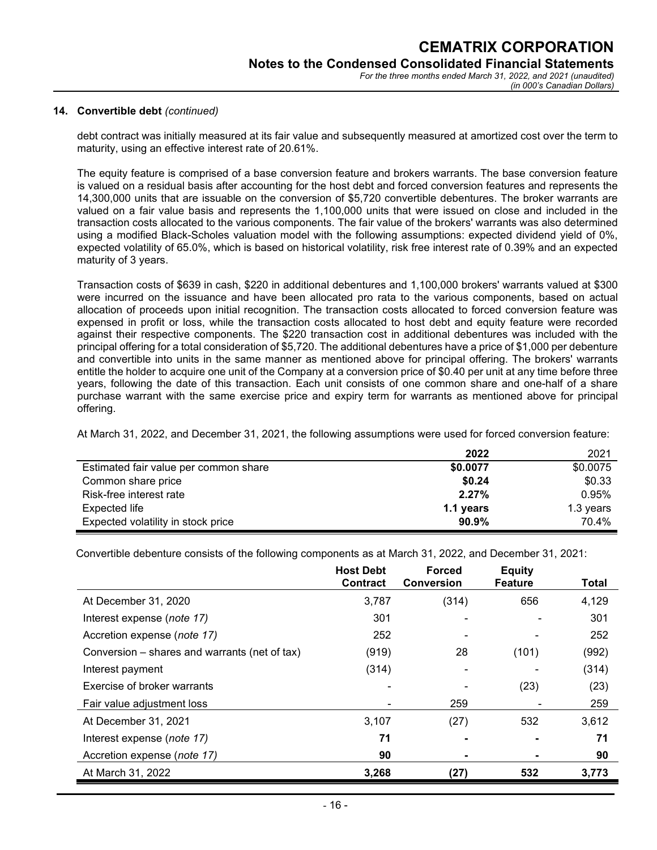#### **14. Convertible debt** *(continued)*

debt contract was initially measured at its fair value and subsequently measured at amortized cost over the term to maturity, using an effective interest rate of 20.61%.

The equity feature is comprised of a base conversion feature and brokers warrants. The base conversion feature is valued on a residual basis after accounting for the host debt and forced conversion features and represents the 14,300,000 units that are issuable on the conversion of \$5,720 convertible debentures. The broker warrants are valued on a fair value basis and represents the 1,100,000 units that were issued on close and included in the transaction costs allocated to the various components. The fair value of the brokers' warrants was also determined using a modified Black-Scholes valuation model with the following assumptions: expected dividend yield of 0%, expected volatility of 65.0%, which is based on historical volatility, risk free interest rate of 0.39% and an expected maturity of 3 years.

Transaction costs of \$639 in cash, \$220 in additional debentures and 1,100,000 brokers' warrants valued at \$300 were incurred on the issuance and have been allocated pro rata to the various components, based on actual allocation of proceeds upon initial recognition. The transaction costs allocated to forced conversion feature was expensed in profit or loss, while the transaction costs allocated to host debt and equity feature were recorded against their respective components. The \$220 transaction cost in additional debentures was included with the principal offering for a total consideration of \$5,720. The additional debentures have a price of \$1,000 per debenture and convertible into units in the same manner as mentioned above for principal offering. The brokers' warrants entitle the holder to acquire one unit of the Company at a conversion price of \$0.40 per unit at any time before three years, following the date of this transaction. Each unit consists of one common share and one-half of a share purchase warrant with the same exercise price and expiry term for warrants as mentioned above for principal offering.

At March 31, 2022, and December 31, 2021, the following assumptions were used for forced conversion feature:

|                                       | 2022      | 2021      |
|---------------------------------------|-----------|-----------|
| Estimated fair value per common share | \$0.0077  | \$0.0075  |
| Common share price                    | \$0.24    | \$0.33    |
| Risk-free interest rate               | 2.27%     | 0.95%     |
| <b>Expected life</b>                  | 1.1 years | 1.3 years |
| Expected volatility in stock price    | 90.9%     | 70.4%     |

Convertible debenture consists of the following components as at March 31, 2022, and December 31, 2021:

|                                               | <b>Host Debt</b> | <b>Forced</b>     | <b>Equity</b>  |       |
|-----------------------------------------------|------------------|-------------------|----------------|-------|
|                                               | <b>Contract</b>  | <b>Conversion</b> | <b>Feature</b> | Total |
| At December 31, 2020                          | 3,787            | (314)             | 656            | 4,129 |
| Interest expense (note 17)                    | 301              |                   |                | 301   |
| Accretion expense (note 17)                   | 252              |                   |                | 252   |
| Conversion – shares and warrants (net of tax) | (919)            | 28                | (101)          | (992) |
| Interest payment                              | (314)            |                   |                | (314) |
| Exercise of broker warrants                   |                  |                   | (23)           | (23)  |
| Fair value adjustment loss                    |                  | 259               |                | 259   |
| At December 31, 2021                          | 3,107            | (27)              | 532            | 3,612 |
| Interest expense (note 17)                    | 71               |                   |                | 71    |
| Accretion expense (note 17)                   | 90               |                   |                | 90    |
| At March 31, 2022                             | 3,268            | (27)              | 532            | 3,773 |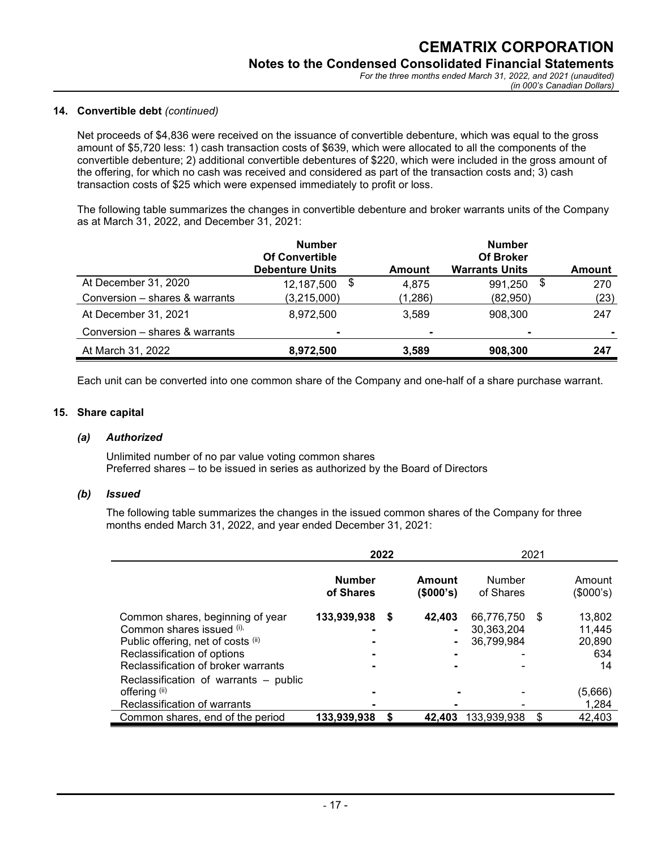#### **14. Convertible debt** *(continued)*

Net proceeds of \$4,836 were received on the issuance of convertible debenture, which was equal to the gross amount of \$5,720 less: 1) cash transaction costs of \$639, which were allocated to all the components of the convertible debenture; 2) additional convertible debentures of \$220, which were included in the gross amount of the offering, for which no cash was received and considered as part of the transaction costs and; 3) cash transaction costs of \$25 which were expensed immediately to profit or loss.

The following table summarizes the changes in convertible debenture and broker warrants units of the Company as at March 31, 2022, and December 31, 2021:

|                                | <b>Number</b><br><b>Of Convertible</b><br><b>Debenture Units</b> | Amount  | <b>Number</b><br><b>Of Broker</b><br><b>Warrants Units</b> | <b>Amount</b> |
|--------------------------------|------------------------------------------------------------------|---------|------------------------------------------------------------|---------------|
| At December 31, 2020           | -\$<br>12,187,500                                                | 4,875   | \$<br>991,250                                              | 270           |
| Conversion - shares & warrants | (3,215,000)                                                      | (1,286) | (82,950)                                                   | (23)          |
| At December 31, 2021           | 8,972,500                                                        | 3.589   | 908.300                                                    | 247           |
| Conversion - shares & warrants | $\blacksquare$                                                   |         | $\blacksquare$                                             |               |
| At March 31, 2022              | 8,972,500                                                        | 3,589   | 908,300                                                    | 247           |

Each unit can be converted into one common share of the Company and one-half of a share purchase warrant.

#### **15. Share capital**

#### *(a) Authorized*

Unlimited number of no par value voting common shares Preferred shares – to be issued in series as authorized by the Board of Directors

#### *(b) Issued*

The following table summarizes the changes in the issued common shares of the Company for three months ended March 31, 2022, and year ended December 31, 2021:

|                                                                                                                                                                                                                    | 2022                       |     | 2021                |                                        |    |                                         |
|--------------------------------------------------------------------------------------------------------------------------------------------------------------------------------------------------------------------|----------------------------|-----|---------------------|----------------------------------------|----|-----------------------------------------|
|                                                                                                                                                                                                                    | <b>Number</b><br>of Shares |     | Amount<br>(\$000's) | Number<br>of Shares                    |    | Amount<br>(\$000's)                     |
| Common shares, beginning of year<br>Common shares issued (i),<br>Public offering, net of costs (ii)<br>Reclassification of options<br>Reclassification of broker warrants<br>Reclassification of warrants – public | 133,939,938                | - 5 | 42,403              | 66,776,750<br>30,363,204<br>36,799,984 | \$ | 13,802<br>11,445<br>20,890<br>634<br>14 |
| offering (ii)<br>Reclassification of warrants                                                                                                                                                                      |                            |     |                     |                                        |    | (5,666)<br>1,284                        |
| Common shares, end of the period                                                                                                                                                                                   | 133,939,938                |     | 42.403              | 133,939,938                            |    | 42,403                                  |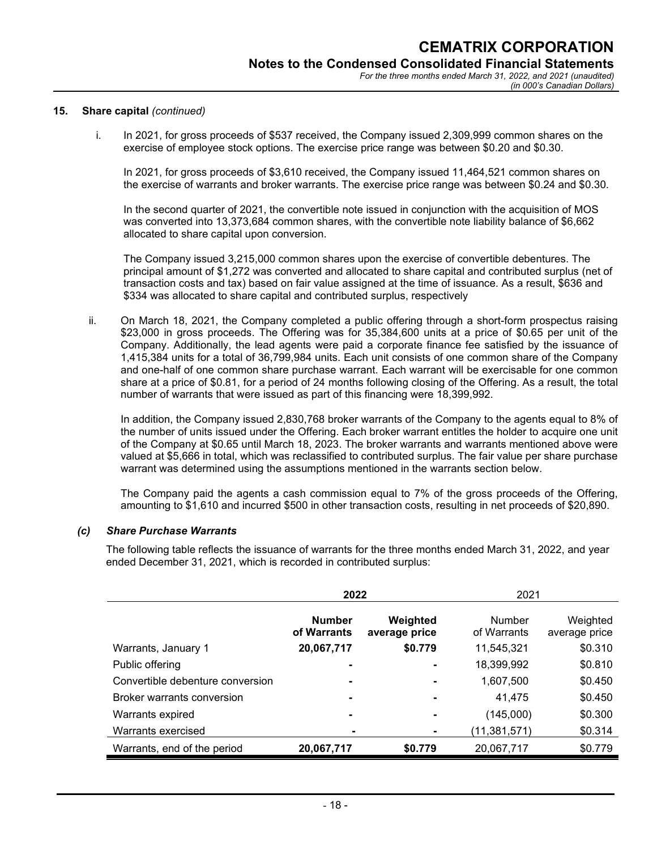#### **15. Share capital** *(continued)*

i. In 2021, for gross proceeds of \$537 received, the Company issued 2,309,999 common shares on the exercise of employee stock options. The exercise price range was between \$0.20 and \$0.30.

In 2021, for gross proceeds of \$3,610 received, the Company issued 11,464,521 common shares on the exercise of warrants and broker warrants. The exercise price range was between \$0.24 and \$0.30.

In the second quarter of 2021, the convertible note issued in conjunction with the acquisition of MOS was converted into 13,373,684 common shares, with the convertible note liability balance of \$6,662 allocated to share capital upon conversion.

The Company issued 3,215,000 common shares upon the exercise of convertible debentures. The principal amount of \$1,272 was converted and allocated to share capital and contributed surplus (net of transaction costs and tax) based on fair value assigned at the time of issuance. As a result, \$636 and \$334 was allocated to share capital and contributed surplus, respectively

ii. On March 18, 2021, the Company completed a public offering through a short-form prospectus raising \$23,000 in gross proceeds. The Offering was for 35,384,600 units at a price of \$0.65 per unit of the Company. Additionally, the lead agents were paid a corporate finance fee satisfied by the issuance of 1,415,384 units for a total of 36,799,984 units. Each unit consists of one common share of the Company and one-half of one common share purchase warrant. Each warrant will be exercisable for one common share at a price of \$0.81, for a period of 24 months following closing of the Offering. As a result, the total number of warrants that were issued as part of this financing were 18,399,992.

In addition, the Company issued 2,830,768 broker warrants of the Company to the agents equal to 8% of the number of units issued under the Offering. Each broker warrant entitles the holder to acquire one unit of the Company at \$0.65 until March 18, 2023. The broker warrants and warrants mentioned above were valued at \$5,666 in total, which was reclassified to contributed surplus. The fair value per share purchase warrant was determined using the assumptions mentioned in the warrants section below.

The Company paid the agents a cash commission equal to 7% of the gross proceeds of the Offering, amounting to \$1,610 and incurred \$500 in other transaction costs, resulting in net proceeds of \$20,890.

### *(c) Share Purchase Warrants*

The following table reflects the issuance of warrants for the three months ended March 31, 2022, and year ended December 31, 2021, which is recorded in contributed surplus:

|                                  | 2022                         |                           | 2021                  |                           |
|----------------------------------|------------------------------|---------------------------|-----------------------|---------------------------|
|                                  | <b>Number</b><br>of Warrants | Weighted<br>average price | Number<br>of Warrants | Weighted<br>average price |
| Warrants, January 1              | 20,067,717                   | \$0.779                   | 11,545,321            | \$0.310                   |
| Public offering                  |                              |                           | 18,399,992            | \$0.810                   |
| Convertible debenture conversion |                              |                           | 1,607,500             | \$0.450                   |
| Broker warrants conversion       |                              |                           | 41.475                | \$0.450                   |
| Warrants expired                 |                              |                           | (145,000)             | \$0.300                   |
| Warrants exercised               | $\blacksquare$               | ۰                         | (11, 381, 571)        | \$0.314                   |
| Warrants, end of the period      | 20,067,717                   | \$0.779                   | 20,067,717            | \$0.779                   |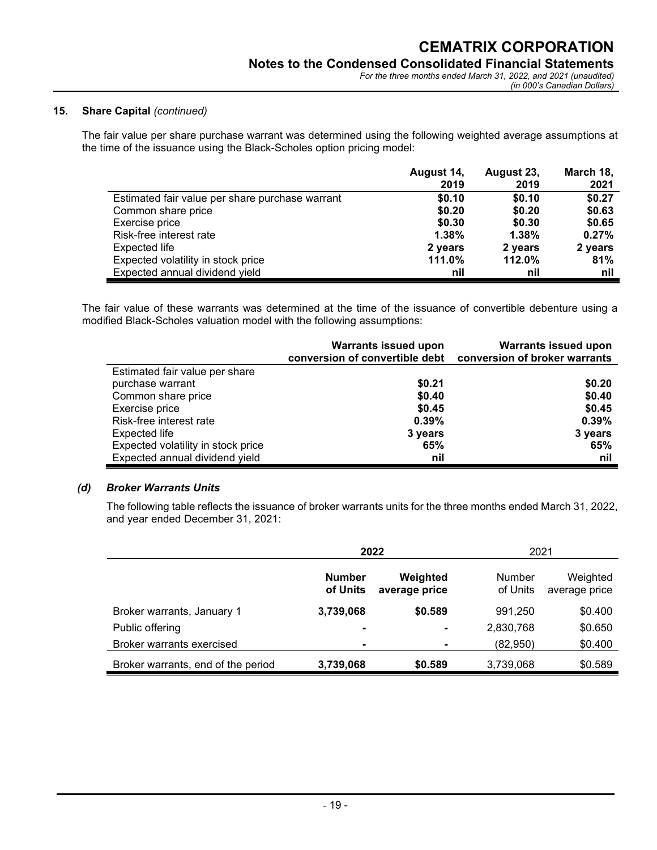#### **15. Share Capital** *(continued)*

The fair value per share purchase warrant was determined using the following weighted average assumptions at the time of the issuance using the Black-Scholes option pricing model:

|                                                 | August 14, | August 23, | March 18, |
|-------------------------------------------------|------------|------------|-----------|
|                                                 | 2019       | 2019       | 2021      |
| Estimated fair value per share purchase warrant | \$0.10     | \$0.10     | \$0.27    |
| Common share price                              | \$0.20     | \$0.20     | \$0.63    |
| Exercise price                                  | \$0.30     | \$0.30     | \$0.65    |
| Risk-free interest rate                         | 1.38%      | 1.38%      | 0.27%     |
| Expected life                                   | 2 years    | 2 years    | 2 years   |
| Expected volatility in stock price              | 111.0%     | 112.0%     | 81%       |
| Expected annual dividend yield                  | nil        | nil        | nil       |

The fair value of these warrants was determined at the time of the issuance of convertible debenture using a modified Black-Scholes valuation model with the following assumptions:

|                                    | <b>Warrants issued upon</b><br>conversion of convertible debt conversion of broker warrants | <b>Warrants issued upon</b> |
|------------------------------------|---------------------------------------------------------------------------------------------|-----------------------------|
| Estimated fair value per share     |                                                                                             |                             |
| purchase warrant                   | \$0.21                                                                                      | \$0.20                      |
| Common share price                 | \$0.40                                                                                      | \$0.40                      |
| Exercise price                     | \$0.45                                                                                      | \$0.45                      |
| Risk-free interest rate            | $0.39\%$                                                                                    | 0.39%                       |
| Expected life                      | 3 years                                                                                     | 3 years                     |
| Expected volatility in stock price | 65%                                                                                         | 65%                         |
| Expected annual dividend yield     | nil                                                                                         | nil                         |

#### *(d) Broker Warrants Units*

The following table reflects the issuance of broker warrants units for the three months ended March 31, 2022, and year ended December 31, 2021:

|                                    | 2022                      |                           | 2021                      |                           |
|------------------------------------|---------------------------|---------------------------|---------------------------|---------------------------|
|                                    | <b>Number</b><br>of Units | Weighted<br>average price | <b>Number</b><br>of Units | Weighted<br>average price |
| Broker warrants, January 1         | 3,739,068                 | \$0.589                   | 991.250                   | \$0.400                   |
| Public offering                    | $\blacksquare$            | $\blacksquare$            | 2,830,768                 | \$0.650                   |
| Broker warrants exercised          | $\blacksquare$            | ۰                         | (82,950)                  | \$0.400                   |
| Broker warrants, end of the period | 3,739,068                 | \$0.589                   | 3,739,068                 | \$0.589                   |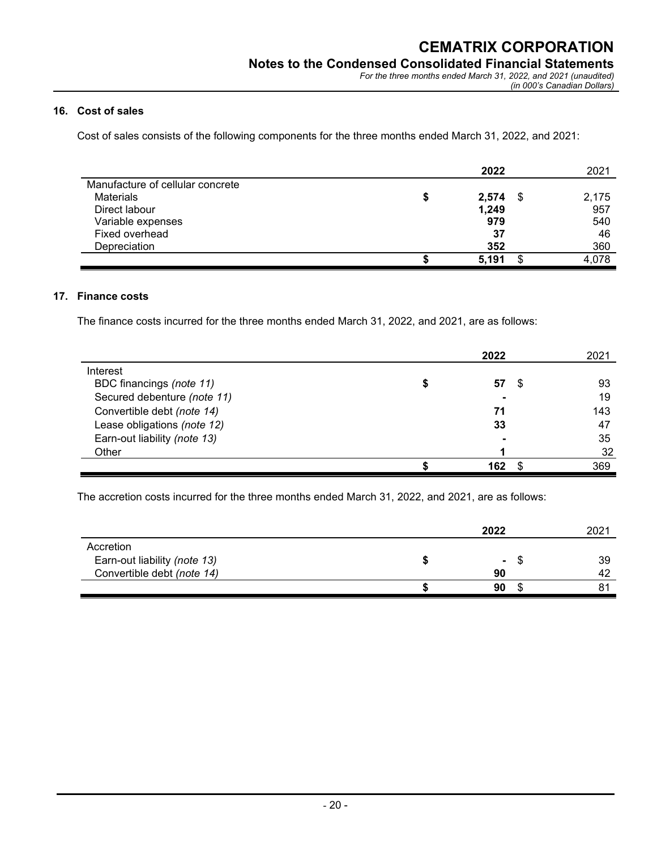### **16. Cost of sales**

Cost of sales consists of the following components for the three months ended March 31, 2022, and 2021:

|                                  | 2022  |   | 2021  |
|----------------------------------|-------|---|-------|
| Manufacture of cellular concrete |       |   |       |
| <b>Materials</b>                 | 2,574 | S | 2,175 |
| Direct labour                    | 1,249 |   | 957   |
| Variable expenses                | 979   |   | 540   |
| Fixed overhead                   | 37    |   | 46    |
| Depreciation                     | 352   |   | 360   |
|                                  | 5,191 | œ | 4,078 |

#### **17. Finance costs**

The finance costs incurred for the three months ended March 31, 2022, and 2021, are as follows:

|                              | 2022 |     | 2021 |
|------------------------------|------|-----|------|
| Interest                     |      |     |      |
| BDC financings (note 11)     | 57   | -95 | 93   |
| Secured debenture (note 11)  |      |     | 19   |
| Convertible debt (note 14)   | 71   |     | 143  |
| Lease obligations (note 12)  | 33   |     | 47   |
| Earn-out liability (note 13) |      |     | 35   |
| Other                        |      |     | 32   |
|                              | 162  |     | 369  |

The accretion costs incurred for the three months ended March 31, 2022, and 2021, are as follows:

|                              | 2022   |    | 2021 |
|------------------------------|--------|----|------|
| Accretion                    |        |    |      |
| Earn-out liability (note 13) | $\sim$ | -S | 39   |
| Convertible debt (note 14)   | 90     |    |      |
|                              | 90     |    |      |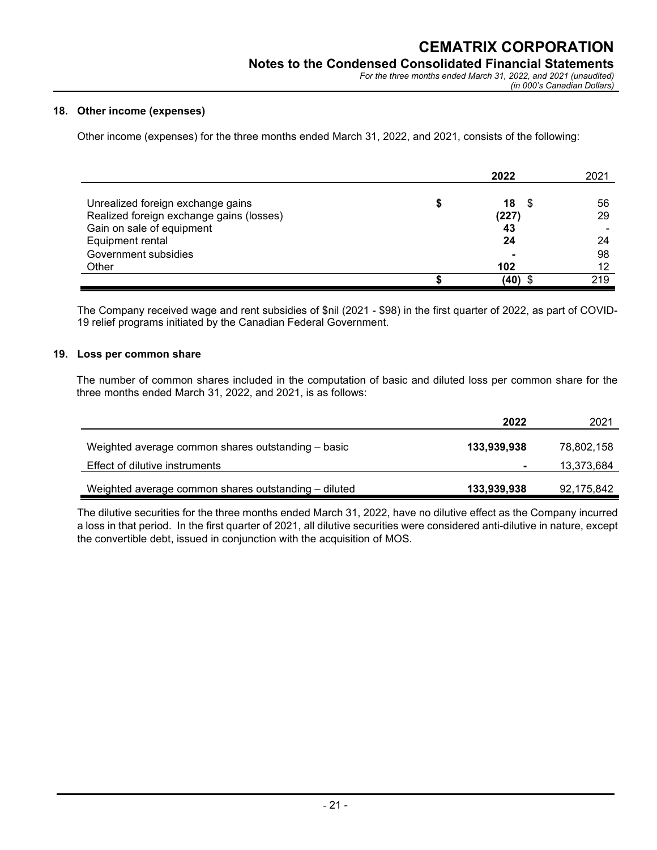*(in 000's Canadian Dollars)*

#### **18. Other income (expenses)**

Other income (expenses) for the three months ended March 31, 2022, and 2021, consists of the following:

|                                          | 2022             | 2021 |
|------------------------------------------|------------------|------|
|                                          |                  |      |
| Unrealized foreign exchange gains        | 18<br>£.         | 56   |
| Realized foreign exchange gains (losses) | (227)            | 29   |
| Gain on sale of equipment                | 43               |      |
| Equipment rental                         | 24               | 24   |
| Government subsidies                     | ۰                | 98   |
| Other                                    | 102              | 12   |
|                                          | $(40)$ $\degree$ | 219  |

The Company received wage and rent subsidies of \$nil (2021 - \$98) in the first quarter of 2022, as part of COVID-19 relief programs initiated by the Canadian Federal Government.

#### **19. Loss per common share**

The number of common shares included in the computation of basic and diluted loss per common share for the three months ended March 31, 2022, and 2021, is as follows:

|                                                      | 2022           | 2021       |
|------------------------------------------------------|----------------|------------|
|                                                      |                |            |
| Weighted average common shares outstanding – basic   | 133,939,938    | 78,802,158 |
| Effect of dilutive instruments                       | $\blacksquare$ | 13,373,684 |
|                                                      |                |            |
| Weighted average common shares outstanding - diluted | 133,939,938    | 92,175,842 |

The dilutive securities for the three months ended March 31, 2022, have no dilutive effect as the Company incurred a loss in that period. In the first quarter of 2021, all dilutive securities were considered anti-dilutive in nature, except the convertible debt, issued in conjunction with the acquisition of MOS.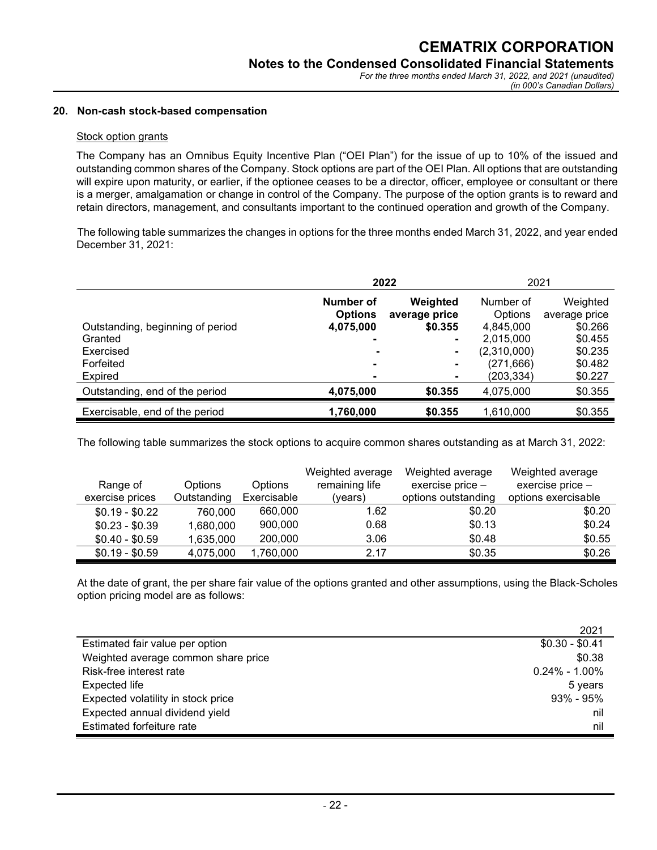#### **20. Non-cash stock-based compensation**

#### Stock option grants

The Company has an Omnibus Equity Incentive Plan ("OEI Plan") for the issue of up to 10% of the issued and outstanding common shares of the Company. Stock options are part of the OEI Plan. All options that are outstanding will expire upon maturity, or earlier, if the optionee ceases to be a director, officer, employee or consultant or there is a merger, amalgamation or change in control of the Company. The purpose of the option grants is to reward and retain directors, management, and consultants important to the continued operation and growth of the Company.

 The following table summarizes the changes in options for the three months ended March 31, 2022, and year ended December 31, 2021:

|                                                                       | 2022                                                    | 2021                                                   |                                                                             |                                                                       |
|-----------------------------------------------------------------------|---------------------------------------------------------|--------------------------------------------------------|-----------------------------------------------------------------------------|-----------------------------------------------------------------------|
| Outstanding, beginning of period<br>Granted<br>Exercised<br>Forfeited | Number of<br><b>Options</b><br>4,075,000<br>۰<br>۰<br>۰ | Weighted<br>average price<br>\$0,355<br>$\blacksquare$ | Number of<br>Options<br>4,845,000<br>2,015,000<br>(2,310,000)<br>(271, 666) | Weighted<br>average price<br>\$0.266<br>\$0.455<br>\$0.235<br>\$0.482 |
| <b>Expired</b><br>Outstanding, end of the period                      | ۰<br>4,075,000                                          | \$0.355                                                | (203,334)<br>4,075,000                                                      | \$0.227<br>\$0.355                                                    |
| Exercisable, end of the period                                        | 1,760,000                                               | \$0,355                                                | 1,610,000                                                                   | \$0.355                                                               |

The following table summarizes the stock options to acquire common shares outstanding as at March 31, 2022:

|                 |                |                | Weighted average | Weighted average    | Weighted average    |
|-----------------|----------------|----------------|------------------|---------------------|---------------------|
| Range of        | <b>Options</b> | <b>Options</b> | remaining life   | exercise price $-$  | exercise price -    |
| exercise prices | Outstanding    | Exercisable    | (vears)          | options outstanding | options exercisable |
| $$0.19 - $0.22$ | 760,000        | 660,000        | 1.62             | \$0.20              | \$0.20              |
| $$0.23 - $0.39$ | 1,680,000      | 900,000        | 0.68             | \$0.13              | \$0.24              |
| $$0.40 - $0.59$ | 1,635,000      | 200,000        | 3.06             | \$0.48              | \$0.55              |
| $$0.19 - $0.59$ | 4,075,000      | 1,760,000      | 2.17             | \$0.35              | \$0.26              |

At the date of grant, the per share fair value of the options granted and other assumptions, using the Black-Scholes option pricing model are as follows:

|                                     | 2021              |
|-------------------------------------|-------------------|
| Estimated fair value per option     | $$0.30 - $0.41$   |
| Weighted average common share price | \$0.38            |
| Risk-free interest rate             | $0.24\% - 1.00\%$ |
| Expected life                       | 5 years           |
| Expected volatility in stock price  | $93\% - 95\%$     |
| Expected annual dividend yield      | nil               |
| Estimated forfeiture rate           | nil               |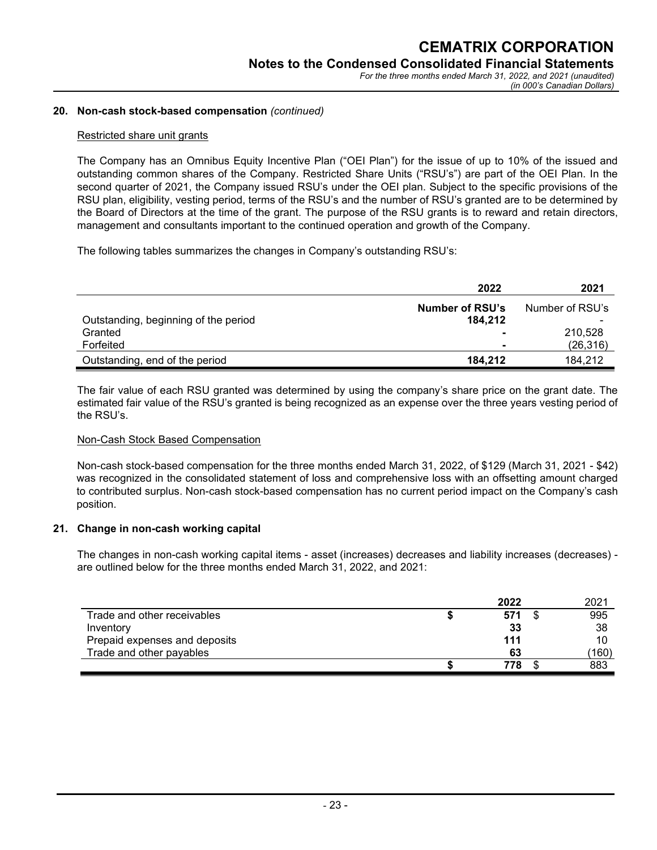#### **20. Non-cash stock-based compensation** *(continued)*

#### Restricted share unit grants

The Company has an Omnibus Equity Incentive Plan ("OEI Plan") for the issue of up to 10% of the issued and outstanding common shares of the Company. Restricted Share Units ("RSU's") are part of the OEI Plan. In the second quarter of 2021, the Company issued RSU's under the OEI plan. Subject to the specific provisions of the RSU plan, eligibility, vesting period, terms of the RSU's and the number of RSU's granted are to be determined by the Board of Directors at the time of the grant. The purpose of the RSU grants is to reward and retain directors, management and consultants important to the continued operation and growth of the Company.

The following tables summarizes the changes in Company's outstanding RSU's:

|                                      | 2022                              | 2021            |
|--------------------------------------|-----------------------------------|-----------------|
| Outstanding, beginning of the period | <b>Number of RSU's</b><br>184.212 | Number of RSU's |
| Granted                              | $\sim$                            | 210,528         |
| Forfeited                            |                                   | (26, 316)       |
| Outstanding, end of the period       | 184.212                           | 184.212         |

The fair value of each RSU granted was determined by using the company's share price on the grant date. The estimated fair value of the RSU's granted is being recognized as an expense over the three years vesting period of the RSU's.

#### Non-Cash Stock Based Compensation

Non-cash stock-based compensation for the three months ended March 31, 2022, of \$129 (March 31, 2021 - \$42) was recognized in the consolidated statement of loss and comprehensive loss with an offsetting amount charged to contributed surplus. Non-cash stock-based compensation has no current period impact on the Company's cash position.

#### **21. Change in non-cash working capital**

The changes in non-cash working capital items - asset (increases) decreases and liability increases (decreases) are outlined below for the three months ended March 31, 2022, and 2021:

|                               | 2022 | 2021  |
|-------------------------------|------|-------|
| Trade and other receivables   | 571  | 995   |
| Inventory                     | 33   | 38    |
| Prepaid expenses and deposits | 111  | 10    |
| Trade and other payables      | 63   | (160) |
|                               | 778  | 883   |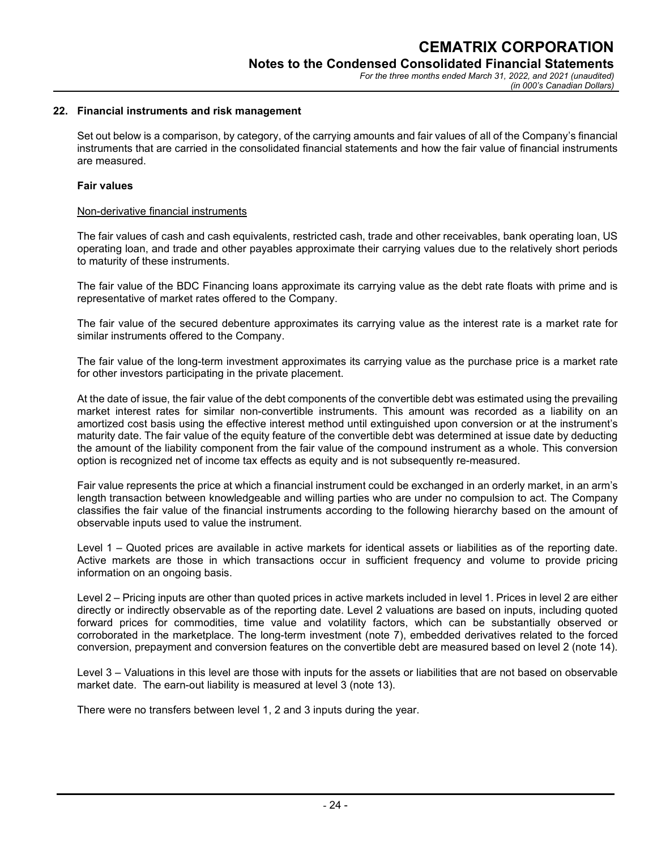#### **22. Financial instruments and risk management**

Set out below is a comparison, by category, of the carrying amounts and fair values of all of the Company's financial instruments that are carried in the consolidated financial statements and how the fair value of financial instruments are measured.

#### **Fair values**

#### Non-derivative financial instruments

The fair values of cash and cash equivalents, restricted cash, trade and other receivables, bank operating loan, US operating loan, and trade and other payables approximate their carrying values due to the relatively short periods to maturity of these instruments.

The fair value of the BDC Financing loans approximate its carrying value as the debt rate floats with prime and is representative of market rates offered to the Company.

The fair value of the secured debenture approximates its carrying value as the interest rate is a market rate for similar instruments offered to the Company.

The fair value of the long-term investment approximates its carrying value as the purchase price is a market rate for other investors participating in the private placement.

At the date of issue, the fair value of the debt components of the convertible debt was estimated using the prevailing market interest rates for similar non-convertible instruments. This amount was recorded as a liability on an amortized cost basis using the effective interest method until extinguished upon conversion or at the instrument's maturity date. The fair value of the equity feature of the convertible debt was determined at issue date by deducting the amount of the liability component from the fair value of the compound instrument as a whole. This conversion option is recognized net of income tax effects as equity and is not subsequently re-measured.

Fair value represents the price at which a financial instrument could be exchanged in an orderly market, in an arm's length transaction between knowledgeable and willing parties who are under no compulsion to act. The Company classifies the fair value of the financial instruments according to the following hierarchy based on the amount of observable inputs used to value the instrument.

Level 1 – Quoted prices are available in active markets for identical assets or liabilities as of the reporting date. Active markets are those in which transactions occur in sufficient frequency and volume to provide pricing information on an ongoing basis.

Level 2 – Pricing inputs are other than quoted prices in active markets included in level 1. Prices in level 2 are either directly or indirectly observable as of the reporting date. Level 2 valuations are based on inputs, including quoted forward prices for commodities, time value and volatility factors, which can be substantially observed or corroborated in the marketplace. The long-term investment (note 7), embedded derivatives related to the forced conversion, prepayment and conversion features on the convertible debt are measured based on level 2 (note 14).

Level 3 – Valuations in this level are those with inputs for the assets or liabilities that are not based on observable market date. The earn-out liability is measured at level 3 (note 13).

There were no transfers between level 1, 2 and 3 inputs during the year.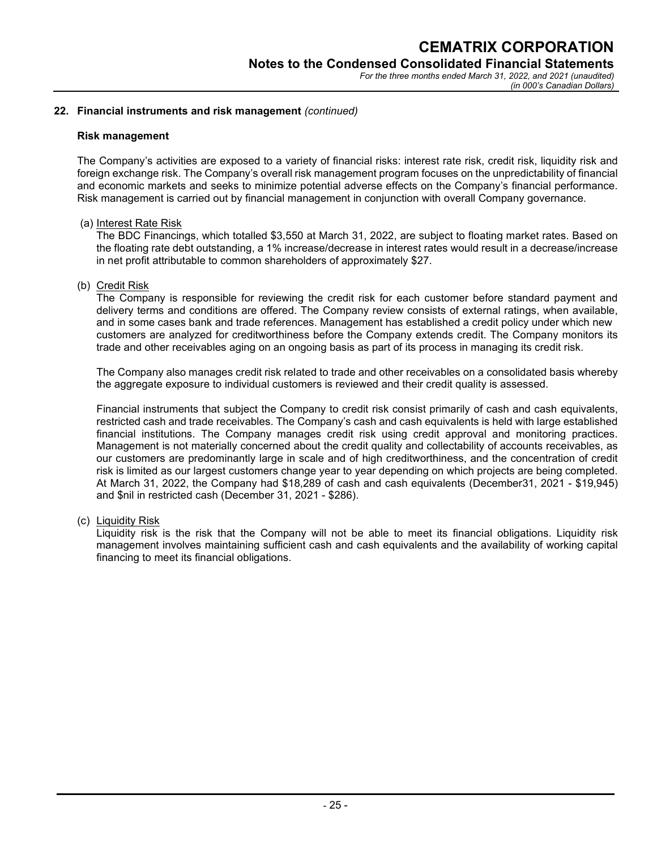#### **22. Financial instruments and risk management** *(continued)*

#### **Risk management**

The Company's activities are exposed to a variety of financial risks: interest rate risk, credit risk, liquidity risk and foreign exchange risk. The Company's overall risk management program focuses on the unpredictability of financial and economic markets and seeks to minimize potential adverse effects on the Company's financial performance. Risk management is carried out by financial management in conjunction with overall Company governance.

#### (a) Interest Rate Risk

The BDC Financings, which totalled \$3,550 at March 31, 2022, are subject to floating market rates. Based on the floating rate debt outstanding, a 1% increase/decrease in interest rates would result in a decrease/increase in net profit attributable to common shareholders of approximately \$27.

#### (b) Credit Risk

The Company is responsible for reviewing the credit risk for each customer before standard payment and delivery terms and conditions are offered. The Company review consists of external ratings, when available, and in some cases bank and trade references. Management has established a credit policy under which new customers are analyzed for creditworthiness before the Company extends credit. The Company monitors its trade and other receivables aging on an ongoing basis as part of its process in managing its credit risk.

The Company also manages credit risk related to trade and other receivables on a consolidated basis whereby the aggregate exposure to individual customers is reviewed and their credit quality is assessed.

Financial instruments that subject the Company to credit risk consist primarily of cash and cash equivalents, restricted cash and trade receivables. The Company's cash and cash equivalents is held with large established financial institutions. The Company manages credit risk using credit approval and monitoring practices. Management is not materially concerned about the credit quality and collectability of accounts receivables, as our customers are predominantly large in scale and of high creditworthiness, and the concentration of credit risk is limited as our largest customers change year to year depending on which projects are being completed. At March 31, 2022, the Company had \$18,289 of cash and cash equivalents (December31, 2021 - \$19,945) and \$nil in restricted cash (December 31, 2021 - \$286).

(c) Liquidity Risk

Liquidity risk is the risk that the Company will not be able to meet its financial obligations. Liquidity risk management involves maintaining sufficient cash and cash equivalents and the availability of working capital financing to meet its financial obligations.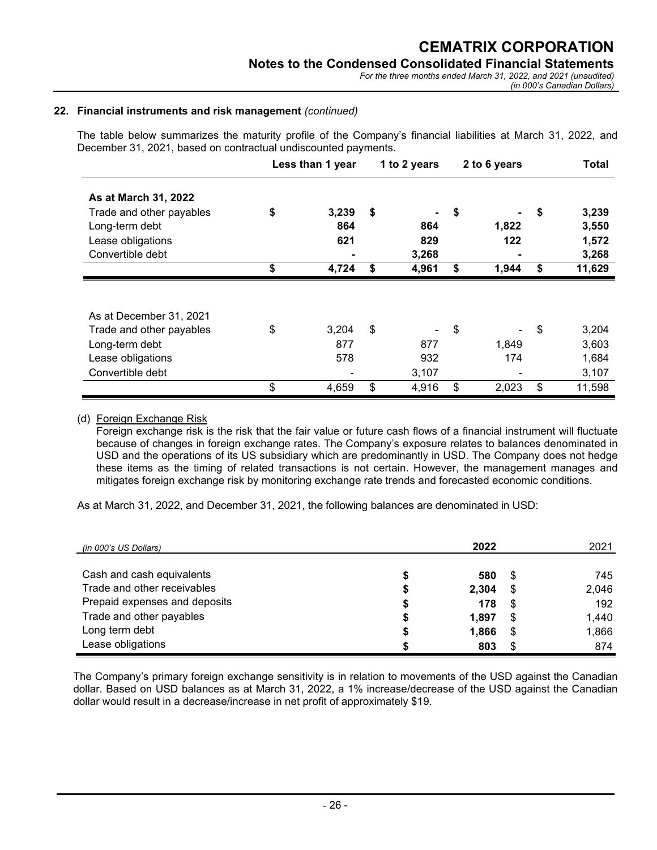*For the three months ended March 31, 2022, and 2021 (unaudited) (in 000's Canadian Dollars)*

#### **22. Financial instruments and risk management** *(continued)*

The table below summarizes the maturity profile of the Company's financial liabilities at March 31, 2022, and December 31, 2021, based on contractual undiscounted payments.

|                          | 1 to 2 years<br>2 to 6 years<br>Less than 1 year |       |    |       |    |       | <b>Total</b> |        |
|--------------------------|--------------------------------------------------|-------|----|-------|----|-------|--------------|--------|
| As at March 31, 2022     |                                                  |       |    |       |    |       |              |        |
| Trade and other payables | \$                                               | 3,239 | \$ |       | \$ |       | \$           | 3,239  |
| Long-term debt           |                                                  | 864   |    | 864   |    | 1,822 |              | 3,550  |
| Lease obligations        |                                                  | 621   |    | 829   |    | 122   |              | 1,572  |
| Convertible debt         |                                                  |       |    | 3,268 |    |       |              | 3,268  |
|                          | \$                                               | 4,724 | \$ | 4,961 | \$ | 1,944 | \$           | 11,629 |
|                          |                                                  |       |    |       |    |       |              |        |
|                          |                                                  |       |    |       |    |       |              |        |
| As at December 31, 2021  |                                                  |       |    |       |    |       |              |        |
| Trade and other payables | \$                                               | 3,204 | \$ |       | \$ |       | \$           | 3,204  |
| Long-term debt           |                                                  | 877   |    | 877   |    | 1,849 |              | 3,603  |
| Lease obligations        |                                                  | 578   |    | 932   |    | 174   |              | 1,684  |
| Convertible debt         |                                                  |       |    | 3,107 |    |       |              | 3,107  |

#### (d) Foreign Exchange Risk

Foreign exchange risk is the risk that the fair value or future cash flows of a financial instrument will fluctuate because of changes in foreign exchange rates. The Company's exposure relates to balances denominated in USD and the operations of its US subsidiary which are predominantly in USD. The Company does not hedge these items as the timing of related transactions is not certain. However, the management manages and mitigates foreign exchange risk by monitoring exchange rate trends and forecasted economic conditions.

As at March 31, 2022, and December 31, 2021, the following balances are denominated in USD:

| (in 000's US Dollars)         | 2022  |    | 2021  |
|-------------------------------|-------|----|-------|
| Cash and cash equivalents     | 580   | S  | 745   |
| Trade and other receivables   | 2,304 | S  | 2,046 |
| Prepaid expenses and deposits | 178   | S  | 192   |
| Trade and other payables      | 1.897 | S  | 1,440 |
| Long term debt                | 1,866 | S  | 1,866 |
| Lease obligations             | 803   | \$ | 874   |

The Company's primary foreign exchange sensitivity is in relation to movements of the USD against the Canadian dollar. Based on USD balances as at March 31, 2022, a 1% increase/decrease of the USD against the Canadian dollar would result in a decrease/increase in net profit of approximately \$19.